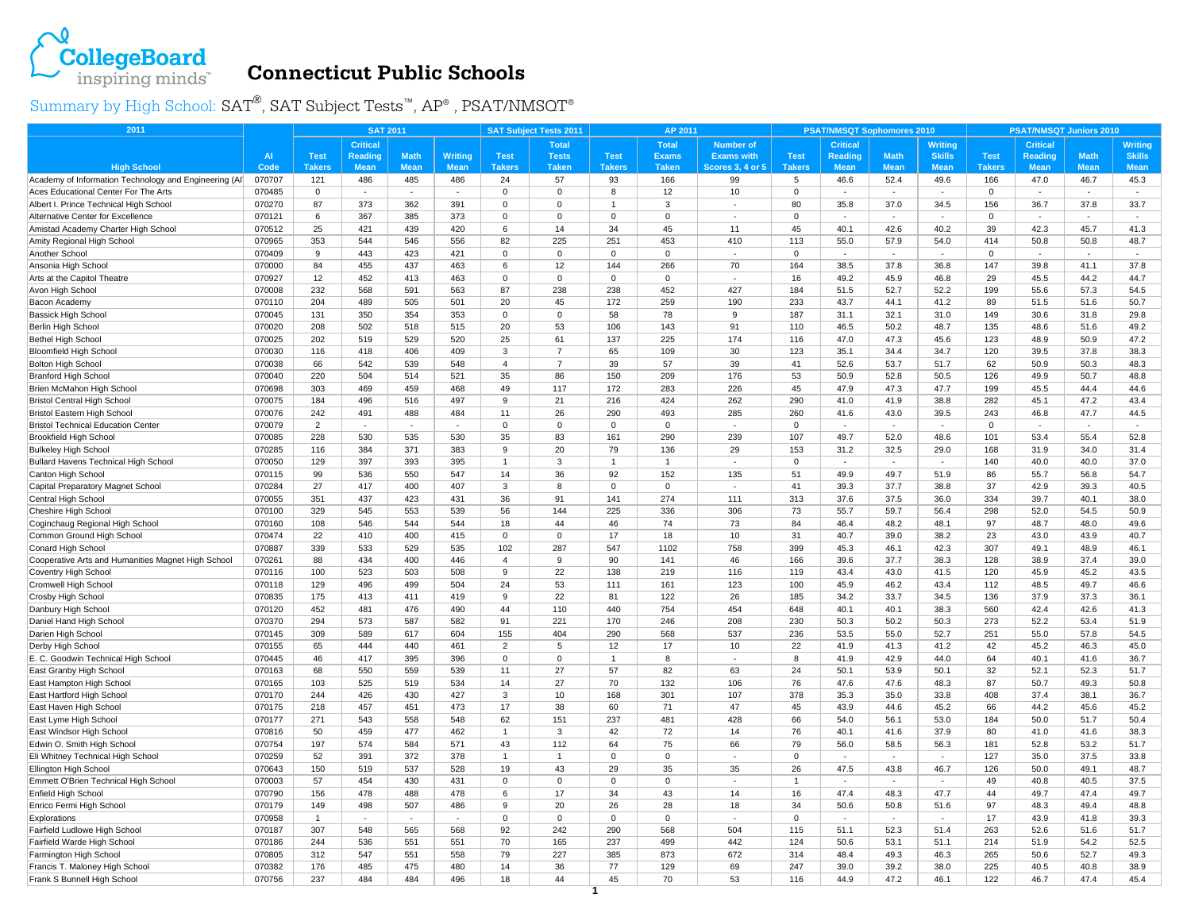

## **Connecticut Public Schools**

Summary by High School:  $\text{SAT}^{\circledast}, \text{SAT}$  Subject Tests™,  $\text{AP}^{\circledast}$  ,  $\text{PSAT/NMSOT}^{\circledast}$ 

| 2011                                                                |                  | <b>SAT 2011</b> |                 |             |                |                | <b>SAT Subject Tests 2011</b> |                 | AP 2011         |                         |                 | <b>PSAT/NMSQT Sophomores 2010</b> |                          |                          | <b>PSAT/NMSQT Juniors 2010</b> |                 |                |               |
|---------------------------------------------------------------------|------------------|-----------------|-----------------|-------------|----------------|----------------|-------------------------------|-----------------|-----------------|-------------------------|-----------------|-----------------------------------|--------------------------|--------------------------|--------------------------------|-----------------|----------------|---------------|
|                                                                     |                  |                 | <b>Critical</b> |             |                |                | <b>Total</b>                  |                 | <b>Total</b>    | <b>Number of</b>        |                 | <b>Critical</b>                   |                          | <b>Writing</b>           |                                | <b>Critical</b> |                | Writing       |
|                                                                     | AI               | <b>Test</b>     | Reading         | <b>Math</b> | <b>Writing</b> | <b>Test</b>    | <b>Tests</b>                  | <b>Test</b>     | <b>Exams</b>    | <b>Exams with</b>       | <b>Test</b>     | Reading                           | <b>Math</b>              | <b>Skills</b>            | <b>Test</b>                    | Reading         | <b>Math</b>    | <b>Skills</b> |
| <b>High School</b>                                                  | Code             | <b>Takers</b>   | <b>Mean</b>     | <b>Mean</b> | <b>Mean</b>    | <b>Takers</b>  | <b>Taken</b>                  | <b>Takers</b>   | <b>Taken</b>    | <b>Scores 3, 4 or 5</b> | <b>Takers</b>   | <b>Mean</b>                       | <b>Mean</b>              | <b>Mean</b>              | <b>Takers</b>                  | <b>Mean</b>     | <b>Mean</b>    | <b>Mean</b>   |
| Academy of Information Technology and Engineering (AI)              | 070707           | 121             | 486             | 485         | 486            | 24             | 57                            | 93              | 166             | 99                      | 5               | 46.6                              | 52.4                     | 49.6                     | 166                            | 47.0            | 46.7           | 45.3          |
| Aces Educational Center For The Arts                                | 070485           | $\mathbf 0$     | $\sim$          | $\sim$      | $\sim$         | $\Omega$       | $\mathbf 0$                   | 8               | 12              | 10                      | $\Omega$        | ÷                                 | $\sim$                   | $\sim$                   | $\Omega$                       |                 | $\sim$         | $\sim$        |
| Albert I. Prince Technical High School                              | 070270           | 87              | 373             | 362         | 391            | 0              | $\mathbf 0$                   | $\overline{1}$  | 3               |                         | 80              | 35.8                              | 37.0                     | 34.5                     | 156                            | 36.7            | 37.8           | 33.7          |
| Alternative Center for Excellence                                   | 070121           | 6               | 367             | 385         | 373            | $\Omega$       | $\mathbf 0$                   | $\mathbf 0$     | $\Omega$        | ä,                      | $\Omega$        | $\sim$                            | $\sim$                   |                          | $\mathbf 0$                    |                 |                | $\sim$        |
| Amistad Academy Charter High School                                 | 070512           | 25              | 421             | 439         | 420            | 6              | 14                            | 34              | 45              | 11                      | 45              | 40.1                              | 42.6                     | 40.2                     | 39                             | 42.3            | 45.7           | 41.3          |
| Amity Regional High School                                          | 070965           | 353             | 544             | 546         | 556            | 82             | 225                           | 251             | 453             | 410                     | 113             | 55.0                              | 57.9                     | 54.0                     | 414                            | 50.8            | 50.8           | 48.7          |
| Another School                                                      | 070409           | 9               | 443             | 423         | 421            | 0              | $\mathbf{0}$                  | $\mathbf 0$     | $\mathbf 0$     | ä,                      | 0               | $\sim$                            | $\overline{\phantom{a}}$ | $\sim$                   | $\mathbf 0$                    |                 | $\sim$         | $\sim$        |
| Ansonia High School                                                 | 070000           | 84              | 455             | 437         | 463            | 6              | 12                            | 144             | 266             | 70                      | 164             | 38.5                              | 37.8                     | 36.8                     | 147                            | 39.8            | 41.1           | 37.8          |
| Arts at the Capitol Theatre                                         | 070927           | 12              | 452             | 413         | 463            | 0              | $\mathbf 0$                   | $\mathbf 0$     | $\Omega$        | ٠                       | 16              | 49.2                              | 45.9                     | 46.8                     | 29                             | 45.5            | 44.2           | 44.7          |
| Avon High School                                                    | 070008           | 232             | 568             | 591         | 563            | 87             | 238                           | 238             | 452             | 427                     | 184             | 51.5                              | 52.7                     | 52.2                     | 199                            | 55.6            | 57.3           | 54.5          |
| Bacon Academy                                                       | 070110           | 204             | 489             | 505         | 501            | 20             | 45                            | 172             | 259             | 190                     | 233             | 43.7                              | 44.1                     | 41.2                     | 89                             | 51.5            | 51.6           | 50.7          |
| <b>Bassick High School</b>                                          | 070045           | 131             | 350             | 354         | 353            | 0              | $\mathbf 0$                   | 58              | 78              | 9                       | 187             | 31.1                              | 32.1                     | 31.0                     | 149                            | 30.6            | 31.8           | 29.8          |
| Berlin High School                                                  | 070020           | 208             | 502             | 518         | 515            | 20             | 53                            | 106             | 143             | 91                      | 110             | 46.5                              | 50.2                     | 48.7                     | 135                            | 48.6            | 51.6           | 49.2          |
| <b>Bethel High School</b>                                           | 070025           | 202             | 519             | 529         | 520            | 25             | 61                            | 137             | 225             | 174                     | 116             | 47.0                              | 47.3                     | 45.6                     | 123                            | 48.9            | 50.9           | 47.2          |
| <b>Bloomfield High School</b>                                       | 070030           | 116             | 418             | 406         | 409            | 3              | $\overline{7}$                | 65              | 109             | 30                      | 123             | 35.1                              | 34.4                     | 34.7                     | 120                            | 39.5            | 37.8           | 38.3          |
| <b>Bolton High School</b>                                           | 070038           | 66              | 542             | 539         | 548            | $\overline{4}$ | $\overline{7}$                | 39              | 57              | 39                      | 41              | 52.6                              | 53.7                     | 51.7                     | 62                             | 50.9            | 50.3           | 48.3          |
| <b>Branford High School</b>                                         | 070040           | 220             | 504             | 514         | 521            | 35             | 86                            | 150             | 209             | 176                     | 53              | 50.9                              | 52.8                     | 50.5                     | 126                            | 49.9            | 50.7           | 48.8          |
| Brien McMahon High School                                           | 070698           | 303             | 469             | 459         | 468            | 49             | 117                           | 172             | 283             | 226                     | 45              | 47.9                              | 47.3                     | 47.7                     | 199                            | 45.5            | 44.4           | 44.6          |
| <b>Bristol Central High School</b>                                  | 070075           | 184             | 496             | 516         | 497            | 9              | 21                            | 216             | 424             | 262                     | 290             | 41.0                              | 41.9                     | 38.8                     | 282                            | 45.1            | 47.2           | 43.4          |
| Bristol Eastern High School                                         | 070076           | 242             | 491<br>$\sim$   | 488         | 484            | 11             | 26                            | 290             | 493             | 285                     | 260             | 41.6<br>÷,                        | 43.0<br>$\mathbf{r}$     | 39.5                     | 243                            | 46.8            | 47.7           | 44.5          |
| <b>Bristol Technical Education Center</b>                           | 070079           | 2<br>228        | 530             | 535         | $\sim$<br>530  | $\Omega$<br>35 | $\Omega$<br>83                | $\Omega$<br>161 | $\Omega$<br>290 | ×,<br>239               | $\Omega$<br>107 | 49.7                              | 52.0                     | $\sim$<br>48.6           | $\Omega$<br>101                | $\sim$<br>53.4  | $\sim$<br>55.4 | ×.<br>52.8    |
| <b>Brookfield High School</b>                                       | 070085<br>070285 | 116             | 384             | 371         | 383            | 9              | 20                            | 79              | 136             | 29                      | 153             | 31.2                              | 32.5                     | 29.0                     | 168                            | 31.9            | 34.0           | 31.4          |
| <b>Bulkeley High School</b><br>Bullard Havens Technical High School | 070050           | 129             | 397             | 393         | 395            | 1              | 3                             | -1              | 1               | ä,                      | $\Omega$        | ٠                                 | $\sim$                   | $\overline{\phantom{a}}$ | 140                            | 40.0            | 40.0           | 37.0          |
| Canton High School                                                  | 070115           | 99              | 536             | 550         | 547            | 14             | 36                            | 92              | 152             | 135                     | 51              | 49.9                              | 49.7                     | 51.9                     | 86                             | 55.7            | 56.8           | 54.7          |
| Capital Preparatory Magnet School                                   | 070284           | 27              | 417             | 400         | 407            | 3              | 8                             | $\mathbf 0$     | $\mathbf 0$     | ÷,                      | 41              | 39.3                              | 37.7                     | 38.8                     | 37                             | 42.9            | 39.3           | 40.5          |
| Central High School                                                 | 070055           | 351             | 437             | 423         | 431            | 36             | 91                            | 141             | 274             | 111                     | 313             | 37.6                              | 37.5                     | 36.0                     | 334                            | 39.7            | 40.1           | 38.0          |
| Cheshire High School                                                | 070100           | 329             | 545             | 553         | 539            | 56             | 144                           | 225             | 336             | 306                     | 73              | 55.7                              | 59.7                     | 56.4                     | 298                            | 52.0            | 54.5           | 50.9          |
| Coginchaug Regional High School                                     | 070160           | 108             | 546             | 544         | 544            | 18             | 44                            | 46              | 74              | 73                      | 84              | 46.4                              | 48.2                     | 48.1                     | 97                             | 48.7            | 48.0           | 49.6          |
| Common Ground High School                                           | 070474           | 22              | 410             | 400         | 415            | $\Omega$       | $\Omega$                      | 17              | 18              | 10                      | 31              | 40.7                              | 39.0                     | 38.2                     | 23                             | 43.0            | 43.9           | 40.7          |
| Conard High School                                                  | 070887           | 339             | 533             | 529         | 535            | 102            | 287                           | 547             | 1102            | 758                     | 399             | 45.3                              | 46.1                     | 42.3                     | 307                            | 49.1            | 48.9           | 46.1          |
| Cooperative Arts and Humanities Magnet High School                  | 070261           | 88              | 434             | 400         | 446            | 4              | 9                             | 90              | 141             | 46                      | 166             | 39.6                              | 37.7                     | 38.3                     | 128                            | 38.9            | 37.4           | 39.0          |
| Coventry High School                                                | 070116           | 100             | 523             | 503         | 508            | 9              | 22                            | 138             | 219             | 116                     | 119             | 43.4                              | 43.0                     | 41.5                     | 120                            | 45.9            | 45.2           | 43.5          |
| Cromwell High School                                                | 070118           | 129             | 496             | 499         | 504            | 24             | 53                            | 111             | 161             | 123                     | 100             | 45.9                              | 46.2                     | 43.4                     | 112                            | 48.5            | 49.7           | 46.6          |
| Crosby High School                                                  | 070835           | 175             | 413             | 411         | 419            | 9              | 22                            | 81              | 122             | 26                      | 185             | 34.2                              | 33.7                     | 34.5                     | 136                            | 37.9            | 37.3           | 36.1          |
| Danbury High School                                                 | 070120           | 452             | 481             | 476         | 490            | 44             | 110                           | 440             | 754             | 454                     | 648             | 40.1                              | 40.1                     | 38.3                     | 560                            | 42.4            | 42.6           | 41.3          |
| Daniel Hand High School                                             | 070370           | 294             | 573             | 587         | 582            | 91             | 221                           | 170             | 246             | 208                     | 230             | 50.3                              | 50.2                     | 50.3                     | 273                            | 52.2            | 53.4           | 51.9          |
| Darien High School                                                  | 070145           | 309             | 589             | 617         | 604            | 155            | 404                           | 290             | 568             | 537                     | 236             | 53.5                              | 55.0                     | 52.7                     | 251                            | 55.0            | 57.8           | 54.5          |
| Derby High School                                                   | 070155           | 65              | 444             | 440         | 461            | $\overline{2}$ | 5                             | 12              | 17              | $10$                    | 22              | 41.9                              | 41.3                     | 41.2                     | 42                             | 45.2            | 46.3           | 45.0          |
| E. C. Goodwin Technical High School                                 | 070445           | 46              | 417             | 395         | 396            | $\Omega$       | $\Omega$                      | $\overline{1}$  | 8               |                         | 8               | 41.9                              | 42.9                     | 44.0                     | 64                             | 40.1            | 41.6           | 36.7          |
| East Granby High School                                             | 070163           | 68              | 550             | 559         | 539            | 11             | 27                            | 57              | 82              | 63                      | 24              | 50.1                              | 53.9                     | 50.1                     | 32                             | 52.1            | 52.3           | 51.7          |
| East Hampton High School                                            | 070165           | 103             | 525             | 519         | 534            | 14             | 27                            | 70              | 132             | 106                     | 76              | 47.6                              | 47.6                     | 48.3                     | 87                             | 50.7            | 49.3           | 50.8          |
| East Hartford High School                                           | 070170           | 244             | 426             | 430         | 427            | 3              | 10                            | 168             | 301             | 107                     | 378             | 35.3                              | 35.0                     | 33.8                     | 408                            | 37.4            | 38.1           | 36.7          |
| East Haven High School                                              | 070175           | 218             | 457             | 451         | 473            | 17             | 38                            | 60              | 71              | 47                      | 45              | 43.9                              | 44.6                     | 45.2                     | 66                             | 44.2            | 45.6           | 45.2          |
| East Lyme High School                                               | 070177           | 271             | 543             | 558         | 548            | 62             | 151                           | 237             | 481             | 428                     | 66              | 54.0                              | 56.1                     | 53.0                     | 184                            | 50.0            | 51.7           | 50.4          |
| East Windsor High School                                            | 070816           | 50              | 459             | 477         | 462            | $\mathbf{1}$   | 3                             | 42              | 72              | 14                      | 76              | 40.1                              | 41.6                     | 37.9                     | 80                             | 41.0            | 41.6           | 38.3          |
| Edwin O. Smith High Schoo                                           | 070754           | 197             | 574             | 584         | 571            | 43             | 112                           | 64              | 75              | 66                      | 79              | 56.0                              | 58.5                     | 56.3                     | 181                            | 52.8            | 53.2           | 51.7          |
| Eli Whitney Technical High School                                   | 070259           | 52              | 391             | 372         | 378            |                |                               | $\mathbf 0$     | $\mathbf 0$     |                         | $\mathbf 0$     |                                   |                          |                          | 127                            | 35.0            | 37.5           | 33.8          |
| Ellington High School                                               | 070643           | 150             | 519             | 537         | 528            | 19             | 43                            | 29              | 35              | 35                      | 26              | 47.5                              | 43.8                     | 46.7                     | 126                            | 50.0            | 49.1           | 48.7          |
| Emmett O'Brien Technical High School                                | 070003           | 57              | 454             | 430         | 431            | $\mathbf 0$    | $\mathbf 0$                   | $\mathbf 0$     | $\mathbf 0$     | $\sim$                  | $\mathbf{1}$    | $\sim$                            | $\sim$                   | $\sim$                   | 49                             | 40.8            | 40.5           | 37.5          |
| Enfield High School                                                 | 070790           | 156             | 478             | 488         | 478            | 6              | 17                            | 34              | 43              | 14                      | 16              | 47.4                              | 48.3                     | 47.7                     | 44                             | 49.7            | 47.4           | 49.7          |
| Enrico Fermi High School                                            | 070179           | 149             | 498             | 507         | 486            | 9              | 20                            | 26              | 28              | 18                      | 34              | 50.6                              | 50.8                     | 51.6                     | 97                             | 48.3            | 49.4           | 48.8          |
| Explorations                                                        | 070958           |                 |                 |             |                | $\Omega$       | $\Omega$                      | $\Omega$        | $\Omega$        |                         | $\Omega$        |                                   |                          |                          | 17                             | 43.9            | 41.8           | 39.3          |
| Fairfield Ludlowe High School                                       | 070187           | 307             | 548             | 565         | 568            | 92             | 242                           | 290             | 568             | 504                     | 115             | 51.1                              | 52.3                     | 51.4                     | 263                            | 52.6            | 51.6           | 51.7          |
| Fairfield Warde High School                                         | 070186           | 244             | 536             | 551         | 551            | 70             | 165                           | 237             | 499             | 442                     | 124             | 50.6                              | 53.1                     | 51.1                     | 214                            | 51.9            | 54.2           | 52.5          |
| Farmington High School                                              | 070805           | 312             | 547             | 551         | 558            | 79             | 227                           | 385             | 873             | 672                     | 314             | 48.4                              | 49.3                     | 46.3                     | 265                            | 50.6            | 52.7           | 49.3          |
| Francis T. Maloney High School                                      | 070382           | 176             | 485             | 475         | 480            | 14             | 36                            | 77              | 129             | 69                      | 247             | 39.0                              | 39.2                     | 38.0                     | 225                            | 40.5            | 40.8           | 38.9          |
| Frank S Bunnell High School                                         | 070756           | 237             | 484             | 484         | 496            | 18             | 44                            | 45              | 70              | 53                      | 116             | 44.9                              | 47.2                     | 46.1                     | 122                            | 46.7            | 47.4           | 45.4          |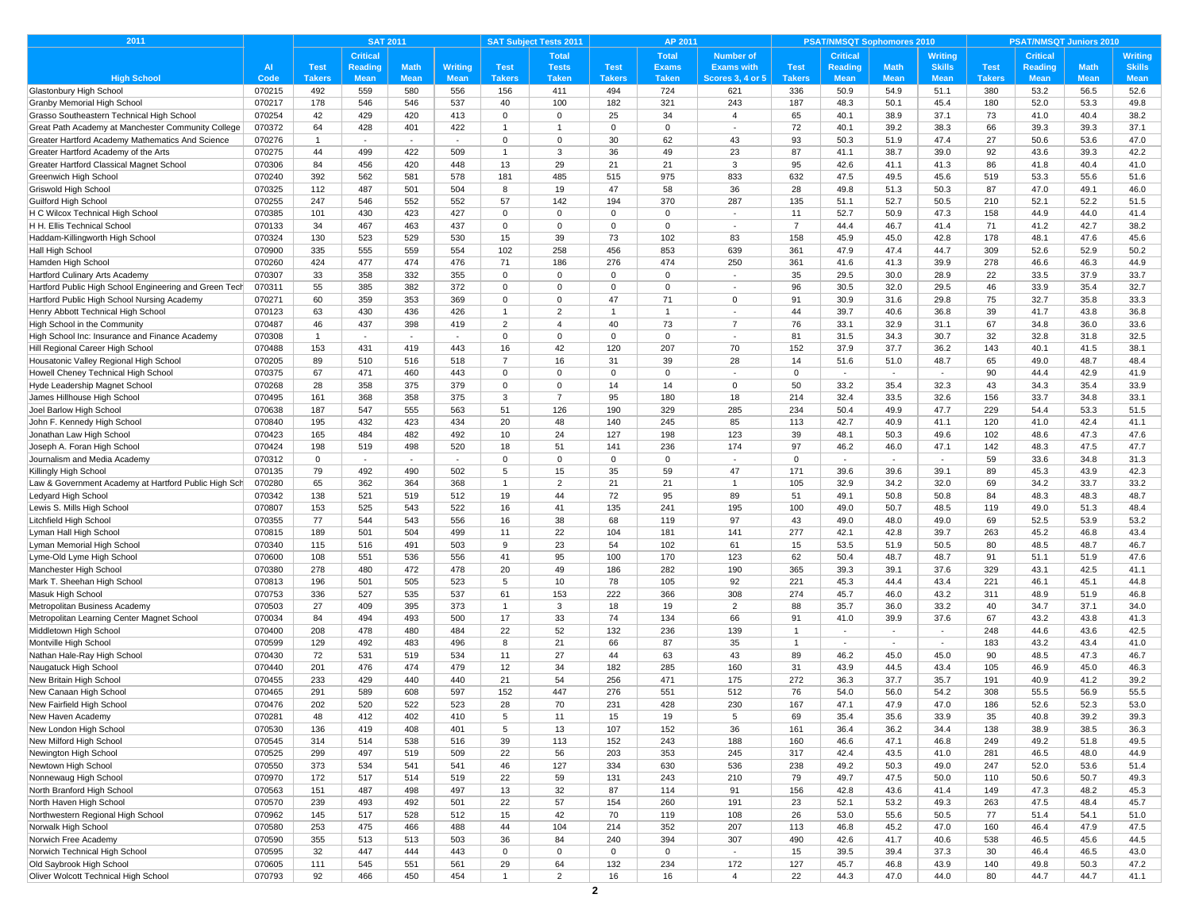| 2011                                                     |                  | <b>SAT 2011</b> |                |             | <b>SAT Subject Tests 2011</b><br>AP 2011 |                |                |               |              |                          | <b>PSAT/NMSQT Sophomores 2010</b> |                 |                          | <b>PSAT/NMSQT Juniors 2010</b> |               |                 |              |                |
|----------------------------------------------------------|------------------|-----------------|----------------|-------------|------------------------------------------|----------------|----------------|---------------|--------------|--------------------------|-----------------------------------|-----------------|--------------------------|--------------------------------|---------------|-----------------|--------------|----------------|
|                                                          |                  |                 | Critical       |             |                                          |                | <b>Total</b>   |               | <b>Total</b> | <b>Number of</b>         |                                   | <b>Critical</b> |                          | <b>Writing</b>                 |               | <b>Critical</b> |              | <b>Writing</b> |
|                                                          | <b>AI</b>        | <b>Test</b>     | <b>Reading</b> | <b>Math</b> | <b>Writing</b>                           | <b>Test</b>    | <b>Tests</b>   | <b>Test</b>   | <b>Exams</b> | <b>Exams with</b>        | <b>Test</b>                       | <b>Reading</b>  | <b>Math</b>              | <b>Skills</b>                  | <b>Test</b>   | <b>Reading</b>  | <b>Math</b>  | <b>Skills</b>  |
| <b>High School</b>                                       | Code             | Takers          | <b>Mean</b>    | <b>Mean</b> | <b>Mean</b>                              | <b>Takers</b>  | <b>Taken</b>   | <b>Takers</b> | <b>Taken</b> | <b>Scores 3, 4 or 5</b>  | <b>Takers</b>                     | <b>Mean</b>     | <b>Mean</b>              | <b>Mean</b>                    | <b>Takers</b> | <b>Mean</b>     | <b>Mean</b>  | <b>Mean</b>    |
| Glastonbury High School                                  | 070215           | 492             | 559            | 580         | 556                                      | 156            | 411            | 494           | 724          | 621                      | 336                               | 50.9            | 54.9                     | 51.1                           | 380           | 53.2            | 56.5         | 52.6           |
| Granby Memorial High School                              | 070217           | 178             | 546            | 546         | 537                                      | 40             | 100            | 182           | 321          | 243                      | 187                               | 48.3            | 50.1                     | 45.4                           | 180           | 52.0            | 53.3         | 49.8           |
| Grasso Southeastern Technical High School                | 070254           | 42              | 429            | 420         | 413                                      | $\Omega$       | $\mathbf 0$    | 25            | 34           | $\overline{4}$           | 65                                | 40.1            | 38.9                     | 37.1                           | 73            | 41.0            | 40.4         | 38.2           |
| Great Path Academy at Manchester Community College       | 070372           | 64              | 428            | 401         | 422                                      | $\mathbf{1}$   | $\overline{1}$ | 0             | $\mathbf 0$  | $\sim$                   | 72                                | 40.1            | 39.2                     | 38.3                           | 66            | 39.3            | 39.3         | 37.1           |
| Greater Hartford Academy Mathematics And Science         | 070276           | $\overline{1}$  |                |             |                                          | $\Omega$       | $\mathbf{0}$   | 30            | 62           | 43                       | 93                                | 50.3            | 51.9                     | 47.4                           | 27            | 50.6            | 53.6         | 47.0           |
| Greater Hartford Academy of the Arts                     | 070275           | 44              | 499            | 422         | 509                                      | $\mathbf{1}$   | 3              | 36            | 49           | 23                       | 87                                | 41.1            | 38.7                     | 39.0                           | 92            | 43.6            | 39.3         | 42.2           |
| Greater Hartford Classical Magnet School                 | 070306           | 84              | 456            | 420         | 448                                      | 13             | 29             | 21            | 21           | 3                        | 95                                | 42.6            | 41.1                     | 41.3                           | 86            | 41.8            | 40.4         | 41.0           |
| Greenwich High School                                    | 070240           | 392<br>112      | 562<br>487     | 581<br>501  | 578<br>504                               | 181<br>8       | 485<br>19      | 515<br>47     | 975<br>58    | 833<br>36                | 632<br>28                         | 47.5<br>49.8    | 49.5<br>51.3             | 45.6<br>50.3                   | 519<br>87     | 53.3<br>47.0    | 55.6<br>49.1 | 51.6           |
| Griswold High School                                     | 070325           | 247             | 546            |             |                                          | 57             | 142            | 194           | 370          | 287                      | 135                               | 51.1            | 52.7                     | 50.5                           | 210           | 52.1            | 52.2         | 46.0<br>51.5   |
| Guilford High School<br>H C Wilcox Technical High School | 070255<br>070385 | 101             | 430            | 552<br>423  | 552<br>427                               | $\mathbf 0$    | $\mathbf 0$    | 0             | $\mathbf 0$  | $\sim$                   | 11                                | 52.7            | 50.9                     | 47.3                           | 158           | 44.9            | 44.0         | 41.4           |
| H H. Ellis Technical School                              | 070133           | 34              | 467            | 463         | 437                                      | $\Omega$       | $\mathbf 0$    | 0             | $\mathbf 0$  | $\overline{\phantom{a}}$ | $\overline{7}$                    | 44.4            | 46.7                     | 41.4                           | 71            | 41.2            | 42.7         | 38.2           |
| Haddam-Killingworth High School                          | 070324           | 130             | 523            | 529         | 530                                      | 15             | 39             | 73            | 102          | 83                       | 158                               | 45.9            | 45.0                     | 42.8                           | 178           | 48.1            | 47.6         | 45.6           |
| Hall High School                                         | 070900           | 335             | 555            | 559         | 554                                      | 102            | 258            | 456           | 853          | 639                      | 361                               | 47.9            | 47.4                     | 44.7                           | 309           | 52.6            | 52.9         | 50.2           |
| Hamden High School                                       | 070260           | 424             | 477            | 474         | 476                                      | 71             | 186            | 276           | 474          | 250                      | 361                               | 41.6            | 41.3                     | 39.9                           | 278           | 46.6            | 46.3         | 44.9           |
| Hartford Culinary Arts Academy                           | 070307           | 33              | 358            | 332         | 355                                      | $\mathbf 0$    | $\mathbf 0$    | $\mathbf 0$   | $\mathbf 0$  | $\sim$                   | 35                                | 29.5            | 30.0                     | 28.9                           | 22            | 33.5            | 37.9         | 33.7           |
| Hartford Public High School Engineering and Green Tech   | 070311           | 55              | 385            | 382         | 372                                      | $\Omega$       | $\Omega$       | $\mathbf 0$   | $\Omega$     | $\sim$                   | 96                                | 30.5            | 32.0                     | 29.5                           | 46            | 33.9            | 35.4         | 32.7           |
| Hartford Public High School Nursing Academy              | 070271           | 60              | 359            | 353         | 369                                      | $\mathbf 0$    | $\mathbf 0$    | 47            | 71           | 0                        | 91                                | 30.9            | 31.6                     | 29.8                           | 75            | 32.7            | 35.8         | 33.3           |
| Henry Abbott Technical High School                       | 070123           | 63              | 430            | 436         | 426                                      | -1             | $\overline{2}$ |               | $\mathbf{1}$ | $\overline{\phantom{a}}$ | 44                                | 39.7            | 40.6                     | 36.8                           | 39            | 41.7            | 43.8         | 36.8           |
| High School in the Community                             | 070487           | 46              | 437            | 398         | 419                                      | $\overline{2}$ | $\overline{4}$ | 40            | 73           | $\overline{7}$           | 76                                | 33.1            | 32.9                     | 31.1                           | 67            | 34.8            | 36.0         | 33.6           |
| High School Inc: Insurance and Finance Academy           | 070308           | $\overline{1}$  | $\sim$         | $\sim$      | $\overline{\phantom{a}}$                 | $\Omega$       | $\mathbf 0$    | $\mathbf 0$   | $\mathbf 0$  | ÷,                       | 81                                | 31.5            | 34.3                     | 30.7                           | 32            | 32.8            | 31.8         | 32.5           |
| Hill Regional Career High School                         | 070488           | 153             | 431            | 419         | 443                                      | 16             | 42             | 120           | 207          | 70                       | 152                               | 37.9            | 37.7                     | 36.2                           | 143           | 40.1            | 41.5         | 38.1           |
| Housatonic Valley Regional High School                   | 070205           | 89              | 510            | 516         | 518                                      | $\overline{7}$ | 16             | 31            | 39           | 28                       | 14                                | 51.6            | 51.0                     | 48.7                           | 65            | 49.0            | 48.7         | 48.4           |
| Howell Cheney Technical High School                      | 070375           | 67              | 471            | 460         | 443                                      | $\Omega$       | $\mathbf 0$    | $\Omega$      | $\Omega$     | $\sim$                   | $\Omega$                          | $\sim$          | $\sim$                   | $\sim$                         | 90            | 44.4            | 42.9         | 41.9           |
| Hyde Leadership Magnet School                            | 070268           | 28              | 358            | 375         | 379                                      | $\mathbf 0$    | $\mathbf 0$    | 14            | 14           | $\mathbf 0$              | 50                                | 33.2            | 35.4                     | 32.3                           | 43            | 34.3            | 35.4         | 33.9           |
| James Hillhouse High School                              | 070495           | 161             | 368            | 358         | 375                                      | 3              | $\overline{7}$ | 95            | 180          | 18                       | 214                               | 32.4            | 33.5                     | 32.6                           | 156           | 33.7            | 34.8         | 33.1           |
| Joel Barlow High School                                  | 070638           | 187             | 547            | 555         | 563                                      | 51             | 126            | 190           | 329          | 285                      | 234                               | 50.4            | 49.9                     | 47.7                           | 229           | 54.4            | 53.3         | 51.5           |
| John F. Kennedy High School                              | 070840           | 195             | 432            | 423         | 434                                      | 20             | 48             | 140           | 245          | 85                       | 113                               | 42.7            | 40.9                     | 41.1                           | 120           | 41.0            | 42.4         | 41.1           |
| Jonathan Law High School                                 | 070423           | 165             | 484            | 482         | 492                                      | 10             | 24             | 127           | 198          | 123                      | 39                                | 48.1            | 50.3                     | 49.6                           | 102           | 48.6            | 47.3         | 47.6           |
| Joseph A. Foran High School                              | 070424           | 198             | 519            | 498         | 520                                      | 18             | 51             | 141           | 236          | 174                      | 97                                | 46.2            | 46.0                     | 47.1                           | 142           | 48.3            | 47.5         | 47.7           |
| Journalism and Media Academy                             | 070312           | $\mathbf 0$     | $\sim$         | $\sim$      | $\sim$                                   | $\Omega$       | $\mathbf 0$    | $\mathbf 0$   | $\mathbf 0$  | $\sim$                   | $\Omega$                          | $\sim$          | $\sim$                   | $\sim$                         | 59            | 33.6            | 34.8         | 31.3           |
| Killingly High School                                    | 070135           | 79              | 492            | 490         | 502                                      | 5              | 15             | 35            | 59           | 47                       | 171                               | 39.6            | 39.6                     | 39.1                           | 89            | 45.3            | 43.9         | 42.3           |
| Law & Government Academy at Hartford Public High Sch     | 070280           | 65              | 362            | 364         | 368                                      | $\overline{1}$ | $\overline{2}$ | 21            | 21           | $\mathbf{1}$             | 105                               | 32.9            | 34.2                     | 32.0                           | 69            | 34.2            | 33.7         | 33.2           |
| Ledyard High School                                      | 070342           | 138             | 521            | 519         | 512                                      | 19             | 44             | 72            | 95           | 89                       | 51                                | 49.1            | 50.8                     | 50.8                           | 84            | 48.3            | 48.3         | 48.7           |
| Lewis S. Mills High School                               | 070807           | 153             | 525            | 543         | 522                                      | 16             | 41             | 135           | 241          | 195                      | 100                               | 49.0            | 50.7                     | 48.5                           | 119           | 49.0            | 51.3         | 48.4           |
| Litchfield High School                                   | 070355           | 77              | 544            | 543         | 556                                      | 16             | 38             | 68            | 119          | 97                       | 43                                | 49.0            | 48.0                     | 49.0                           | 69            | 52.5            | 53.9         | 53.2           |
| Lyman Hall High School                                   | 070815           | 189             | 501            | 504         | 499                                      | 11<br>9        | 22             | 104           | 181          | 141                      | 277                               | 42.1            | 42.8                     | 39.7                           | 263           | 45.2            | 46.8         | 43.4           |
| Lyman Memorial High School                               | 070340           | 115             | 516<br>551     | 491         | 503<br>556                               |                | 23<br>95       | 54            | 102          | 61<br>123                | 15<br>62                          | 53.5            | 51.9                     | 50.5<br>48.7                   | 80<br>91      | 48.5<br>51.1    | 48.7         | 46.7<br>47.6   |
| Lyme-Old Lyme High School<br>Manchester High School      | 070600<br>070380 | 108<br>278      | 480            | 536<br>472  | 478                                      | 41<br>20       | 49             | 100<br>186    | 170<br>282   | 190                      | 365                               | 50.4<br>39.3    | 48.7<br>39.1             | 37.6                           | 329           | 43.1            | 51.9<br>42.5 | 41.1           |
| Mark T. Sheehan High School                              | 070813           | 196             | 501            | 505         | 523                                      | 5              | 10             | 78            | 105          | 92                       | 221                               | 45.3            | 44.4                     | 43.4                           | 221           | 46.1            | 45.1         | 44.8           |
| Masuk High School                                        | 070753           | 336             | 527            | 535         | 537                                      | 61             | 153            | 222           | 366          | 308                      | 274                               | 45.7            | 46.0                     | 43.2                           | 311           | 48.9            | 51.9         | 46.8           |
| Metropolitan Business Academy                            | 070503           | 27              | 409            | 395         | 373                                      | $\overline{1}$ | 3              | 18            | 19           | $\overline{2}$           | 88                                | 35.7            | 36.0                     | 33.2                           | 40            | 34.7            | 37.1         | 34.0           |
| Metropolitan Learning Center Magnet School               | 070034           | 84              | 494            | 493         | 500                                      | 17             | 33             | 74            | 134          | 66                       | 91                                | 41.0            | 39.9                     | 37.6                           | 67            | 43.2            | 43.8         | 41.3           |
| Middletown High School                                   | 070400           | 208             | 478            | 480         | 484                                      | 22             | 52             | 132           | 236          | 139                      | $\overline{1}$                    | $\sim$          | $\sim$                   | ×.                             | 248           | 44.6            | 43.6         | 42.5           |
| Montville High School                                    | 070599           | 129             | 492            | 483         | 496                                      | 8              | 21             | 66            | 87           | 35                       | $\mathbf{1}$                      | $\sim$          | $\overline{\phantom{a}}$ | $\blacksquare$                 | 183           | 43.2            | 43.4         | 41.0           |
| Nathan Hale-Ray High School                              | 070430           | 72              | 531            | 519         | 534                                      | 11             | 27             | 44            | 63           | 43                       | 89                                | 46.2            | 45.0                     | 45.0                           | 90            | 48.5            | 47.3         | 46.7           |
| Naugatuck High School                                    | 070440           | 201             | 476            | 474         | 479                                      | 12             | 34             | 182           | 285          | 160                      | 31                                | 43.9            | 44.5                     | 43.4                           | 105           | 46.9            | 45.0         | 46.3           |
| New Britain High School                                  | 070455           | 233             | 429            | 440         | 440                                      | 21             | 54             | 256           | 471          | 175                      | 272                               | 36.3            | 37.7                     | 35.7                           | 191           | 40.9            | 41.2         | 39.2           |
| New Canaan High School                                   | 070465           | 291             | 589            | 608         | 597                                      | 152            | 447            | 276           | 551          | 512                      | 76                                | 54.0            | 56.0                     | 54.2                           | 308           | 55.5            | 56.9         | 55.5           |
| New Fairfield High School                                | 070476           | 202             | 520            | 522         | 523                                      | 28             | 70             | 231           | 428          | 230                      | 167                               | 47.1            | 47.9                     | 47.0                           | 186           | 52.6            | 52.3         | 53.0           |
| New Haven Academy                                        | 070281           | 48              | 412            | 402         | 410                                      | 5              | 11             | 15            | 19           | 5                        | 69                                | 35.4            | 35.6                     | 33.9                           | 35            | 40.8            | 39.2         | 39.3           |
| New London High School                                   | 070530           | 136             | 419            | 408         | 401                                      | 5              | 13             | 107           | 152          | 36                       | 161                               | 36.4            | 36.2                     | 34.4                           | 138           | 38.9            | 38.5         | 36.3           |
| New Milford High School                                  | 070545           | 314             | 514            | 538         | 516                                      | 39             | 113            | 152           | 243          | 188                      | 160                               | 46.6            | 47.1                     | 46.8                           | 249           | 49.2            | 51.8         | 49.5           |
| Newington High School                                    | 070525           | 299             | 497            | 519         | 509                                      | 22             | 56             | 203           | 353          | 245                      | 317                               | 42.4            | 43.5                     | 41.0                           | 281           | 46.5            | 48.0         | 44.9           |
| Newtown High School                                      | 070550           | 373             | 534            | 541         | 541                                      | 46             | 127            | 334           | 630          | 536                      | 238                               | 49.2            | 50.3                     | 49.0                           | 247           | 52.0            | 53.6         | 51.4           |
| Nonnewaug High School                                    | 070970           | 172             | 517            | 514         | 519                                      | 22             | 59             | 131           | 243          | 210                      | 79                                | 49.7            | 47.5                     | 50.0                           | 110           | 50.6            | 50.7         | 49.3           |
| North Branford High School                               | 070563           | 151             | 487            | 498         | 497                                      | 13             | 32             | 87            | 114          | 91                       | 156                               | 42.8            | 43.6                     | 41.4                           | 149           | 47.3            | 48.2         | 45.3           |
| North Haven High School                                  | 070570           | 239             | 493            | 492         | 501                                      | 22             | 57             | 154           | 260          | 191                      | 23                                | 52.1            | 53.2                     | 49.3                           | 263           | 47.5            | 48.4         | 45.7           |
| Northwestern Regional High School                        | 070962           | 145             | 517            | 528         | 512                                      | 15             | 42             | 70            | 119          | 108                      | 26                                | 53.0            | 55.6                     | 50.5                           | 77            | 51.4            | 54.1         | 51.0           |
| Norwalk High School                                      | 070580           | 253             | 475            | 466         | 488                                      | 44             | 104            | 214           | 352          | 207                      | 113                               | 46.8            | 45.2                     | 47.0                           | 160           | 46.4            | 47.9         | 47.5           |
| Norwich Free Academy                                     | 070590           | 355             | 513            | 513         | 503                                      | 36             | 84             | 240           | 394          | 307                      | 490                               | 42.6            | 41.7                     | 40.6                           | 538           | 46.5            | 45.6         | 44.5           |
| Norwich Technical High School                            | 070595           | 32              | 447            | 444         | 443                                      | $\mathbf 0$    | $\mathsf 0$    | $\mathbf 0$   | $\mathsf 0$  | $\sim$                   | 15                                | 39.5            | 39.4                     | 37.3                           | 30            | 46.4            | 46.5         | 43.0           |
| Old Saybrook High School                                 | 070605           | 111             | 545            | 551         | 561                                      | 29             | 64             | 132           | 234          | 172                      | 127                               | 45.7            | 46.8                     | 43.9                           | 140           | 49.8            | 50.3         | 47.2           |
| Oliver Wolcott Technical High School                     | 070793           | 92              | 466            | 450         | 454                                      | $\overline{1}$ | 2              | 16            | 16           | $\overline{4}$           | 22                                | 44.3            | 47.0                     | 44.0                           | 80            | 44.7            | 44.7         | 41.1           |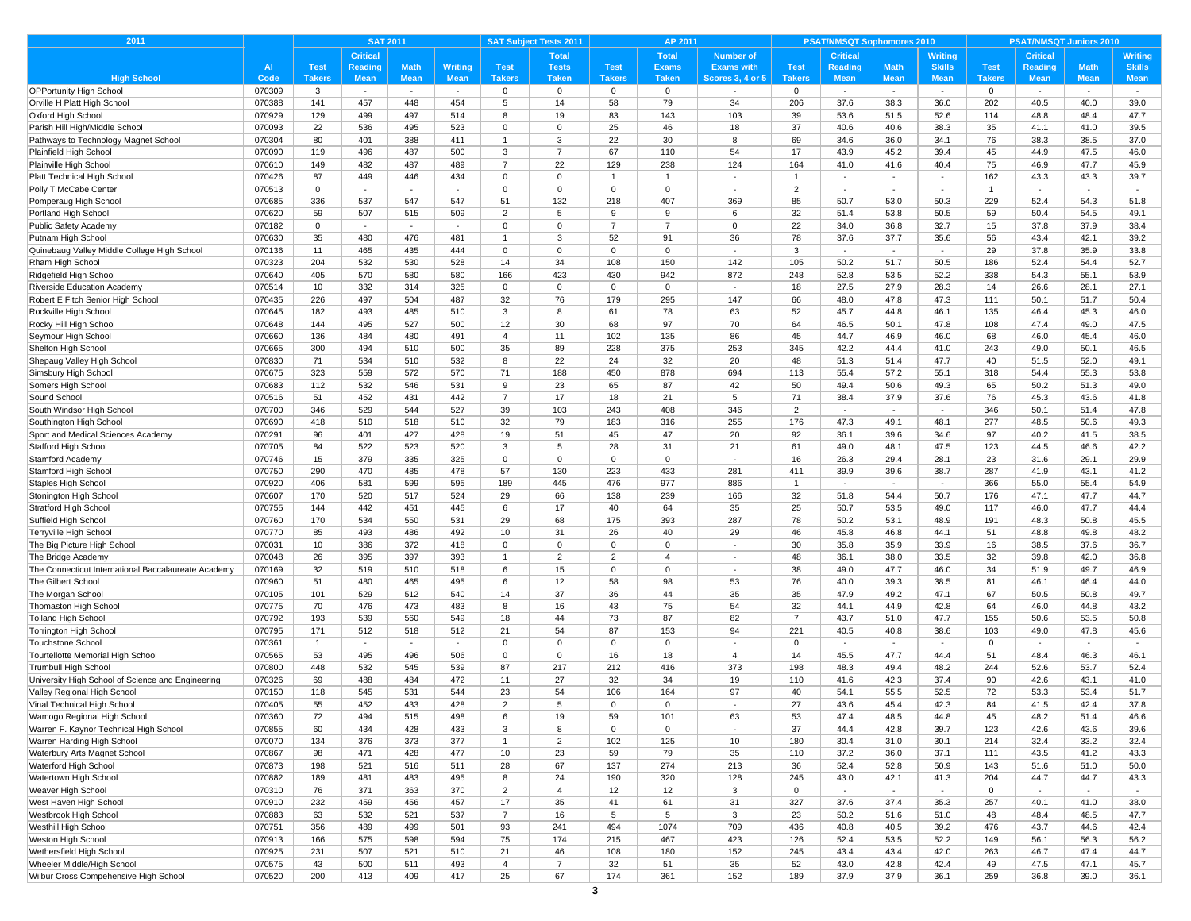| <b>Critical</b><br><b>Total</b><br><b>Total</b><br><b>Number of</b><br><b>Critical</b><br><b>Writing</b><br><b>Critical</b><br><b>Writing</b><br><b>Test</b><br><b>Math</b><br><b>Math</b><br><b>Test</b><br><b>Reading</b><br><b>Math</b><br>Writing<br><b>Test</b><br><b>Tests</b><br><b>Exams</b><br><b>Exams with</b><br><b>Test</b><br>Reading<br><b>Skills</b><br><b>Test</b><br><b>Reading</b><br><b>Skills</b><br>$\overline{A}$<br><b>High School</b><br><b>Takers</b><br><b>Mean</b><br><b>Mean</b><br><b>Taken</b><br><b>Mean</b><br><b>Takers</b><br><b>Mean</b><br><b>Takers</b><br><b>Takers</b><br><b>Taken</b><br><b>Takers</b><br><b>Mean</b><br><b>Mean</b><br><b>Mean</b><br><b>Mean</b><br><b>Mean</b><br>Code<br><b>Scores 3, 4 or 5</b><br><b>OPPortunity High School</b><br>070309<br>3<br>$\mathbf 0$<br>$\mathbf 0$<br>$\mathbf 0$<br>$\mathbf 0$<br>$\mathbf 0$<br>0<br>$\sim$<br>$\sim$<br>$\sim$<br>$\sim$<br>$\sim$<br>$\sim$<br>$\sim$<br>$\sim$<br>$\sim$<br>5<br>14<br>58<br>79<br>Orville H Platt High School<br>070388<br>141<br>457<br>448<br>454<br>34<br>206<br>37.6<br>38.3<br>36.0<br>202<br>40.5<br>39.0<br>40.0<br>070929<br>129<br>499<br>497<br>514<br>19<br>83<br>143<br>103<br>39<br>53.6<br>51.5<br>52.6<br>114<br>48.8<br>48.4<br>47.7<br>Oxford High School<br>8<br>070093<br>22<br>$\mathbf 0$<br>25<br>46<br>18<br>37<br>40.6<br>38.3<br>35<br>536<br>495<br>523<br>$\mathbf 0$<br>40.6<br>41.1<br>41.0<br>39.5<br>Parish Hill High/Middle Schoo<br>80<br>3<br>22<br>30<br>69<br>070304<br>401<br>388<br>411<br>$\overline{1}$<br>8<br>34.6<br>36.0<br>34.1<br>76<br>38.3<br>38.5<br>37.0<br>Pathways to Technology Magnet School<br>67<br>54<br>17<br>45<br>070090<br>119<br>496<br>487<br>500<br>3<br>$\overline{7}$<br>110<br>43.9<br>45.2<br>39.4<br>44.9<br>47.5<br>46.0<br>$\overline{7}$<br>22<br>238<br>070610<br>149<br>482<br>487<br>489<br>129<br>124<br>164<br>41.0<br>41.6<br>40.4<br>75<br>46.9<br>47.7<br>45.9<br>87<br>070426<br>449<br>446<br>434<br>$\mathbf 0$<br>$\mathbf 0$<br>$\overline{1}$<br>$\overline{1}$<br>$\mathbf{1}$<br>162<br>43.3<br>43.3<br>39.7<br>$\sim$<br>×.<br>$\mathbf{r}$<br>$\mathbf 0$<br>$\mathbf 0$<br>2<br>070513<br>$\mathbf 0$<br>$\mathbf 0$<br>$\mathbf 0$<br>$\overline{1}$<br>$\overline{\phantom{a}}$<br>$\overline{\phantom{a}}$<br>$\overline{\phantom{a}}$<br>$\sim$<br>$\overline{\phantom{a}}$<br>$\sim$<br>070685<br>336<br>537<br>547<br>547<br>51<br>132<br>218<br>407<br>369<br>85<br>50.7<br>53.0<br>50.3<br>229<br>52.4<br>54.3<br>51.8<br>Pomperaug High School<br>32<br>Portland High School<br>070620<br>59<br>507<br>509<br>$\overline{2}$<br>5<br>9<br>9<br>51.4<br>53.8<br>50.5<br>59<br>50.4<br>54.5<br>49.1<br>515<br>6<br>22<br>070182<br>$\Omega$<br>$\overline{0}$<br>$\overline{7}$<br>$\overline{7}$<br>$\Omega$<br>34.0<br>36.8<br>32.7<br>15<br>37.8<br>37.9<br>38.4<br>Public Safety Academy<br>0<br>$\sim$<br>$\sim$<br>$\sim$<br>3<br>52<br>91<br>36<br>78<br>37.6<br>37.7<br>39.2<br>070630<br>35<br>480<br>476<br>481<br>35.6<br>56<br>43.4<br>42.1<br>Putnam High School<br>$\mathbf{1}$<br>Quinebaug Valley Middle College High School<br>070136<br>11<br>465<br>435<br>444<br>3<br>29<br>37.8<br>35.9<br>33.8<br>$\mathbf 0$<br>$^{\circ}$<br>$\Omega$<br>$\Omega$<br>$\sim$<br>$\sim$<br>$\blacksquare$<br>070323<br>204<br>532<br>530<br>528<br>14<br>34<br>108<br>150<br>142<br>105<br>50.2<br>51.7<br>50.5<br>186<br>52.4<br>54.4<br>52.7<br>Rham High School<br>423<br>430<br>942<br>070640<br>405<br>570<br>580<br>580<br>166<br>872<br>248<br>52.8<br>53.5<br>52.2<br>338<br>54.3<br>55.1<br>53.9<br>070514<br>10<br>332<br>314<br>325<br>$\mathbf 0$<br>$\mathbf 0$<br>$\mathbf 0$<br>18<br>27.5<br>27.9<br>28.3<br>14<br>26.6<br>28.1<br>27.1<br>0<br>$\sim$<br>76<br>179<br>147<br>47.3<br>070435<br>226<br>497<br>504<br>487<br>32<br>295<br>66<br>48.0<br>47.8<br>111<br>50.1<br>50.4<br>51.7<br>52<br>070645<br>182<br>493<br>485<br>510<br>3<br>8<br>61<br>78<br>63<br>45.7<br>44.8<br>46.1<br>135<br>46.4<br>45.3<br>46.0<br>97<br>64<br>070648<br>144<br>495<br>527<br>500<br>12<br>30<br>68<br>70<br>46.5<br>50.1<br>47.8<br>108<br>47.4<br>49.0<br>47.5<br>070660<br>136<br>484<br>480<br>11<br>102<br>135<br>86<br>45<br>44.7<br>46.9<br>46.0<br>68<br>46.0<br>45.4<br>46.0<br>491<br>$\overline{4}$<br>228<br>375<br>42.2<br>070665<br>300<br>494<br>500<br>35<br>89<br>253<br>345<br>44.4<br>41.0<br>243<br>49.0<br>50.1<br>46.5<br>510<br>22<br>24<br>32<br>20<br>47.7<br>070830<br>71<br>534<br>532<br>8<br>48<br>51.3<br>51.4<br>40<br>51.5<br>52.0<br>49.1<br>Shepaug Valley High School<br>510<br>070675<br>323<br>559<br>572<br>570<br>71<br>188<br>450<br>878<br>694<br>113<br>55.4<br>57.2<br>55.1<br>318<br>54.4<br>55.3<br>53.8<br>Simsbury High School<br>9<br>23<br>65<br>87<br>42<br>50<br>49.4<br>50.6<br>49.3<br>65<br>Somers High School<br>070683<br>112<br>532<br>546<br>531<br>50.2<br>51.3<br>49.0<br>71<br>070516<br>51<br>452<br>431<br>442<br>$\overline{7}$<br>17<br>18<br>21<br>5<br>38.4<br>37.9<br>37.6<br>76<br>45.3<br>43.6<br>41.8<br>Sound School<br>527<br>103<br>243<br>408<br>346<br>2<br>070700<br>346<br>529<br>544<br>39<br>346<br>50.1<br>51.4<br>47.8<br>South Windsor High School<br>$\sim$<br>$\sim$<br>$\overline{\phantom{a}}$<br>070690<br>418<br>510<br>518<br>510<br>32<br>79<br>183<br>316<br>255<br>176<br>47.3<br>49.1<br>48.1<br>277<br>48.5<br>50.6<br>49.3<br>Southington High School<br>427<br>428<br>19<br>51<br>45<br>47<br>20<br>92<br>97<br>38.5<br>070291<br>96<br>401<br>36.1<br>39.6<br>34.6<br>40.2<br>41.5<br>5<br>28<br>31<br>123<br>44.5<br>070705<br>84<br>522<br>523<br>520<br>3<br>21<br>61<br>49.0<br>48.1<br>47.5<br>46.6<br>42.2<br>379<br>335<br>16<br>28.1<br>23<br>29.9<br>070746<br>15<br>325<br>$\mathbf 0$<br>$\mathbf 0$<br>$\mathbf 0$<br>$\mathbf 0$<br>26.3<br>29.4<br>31.6<br>29.1<br>$\sim$<br>57<br>130<br>223<br>433<br>070750<br>290<br>470<br>485<br>478<br>281<br>411<br>39.9<br>38.7<br>287<br>41.9<br>43.1<br>41.2<br>39.6<br>445<br>476<br>977<br>366<br>070920<br>406<br>581<br>599<br>595<br>189<br>886<br>$\mathbf{1}$<br>55.0<br>55.4<br>54.9<br>$\sim$<br>$\overline{a}$<br>$\sim$<br>239<br>32<br>070607<br>170<br>520<br>517<br>524<br>29<br>66<br>138<br>166<br>51.8<br>54.4<br>50.7<br>176<br>47.1<br>47.7<br>44.7<br>070755<br>144<br>442<br>451<br>445<br>6<br>17<br>40<br>64<br>35<br>25<br>50.7<br>53.5<br>49.0<br>117<br>46.0<br>47.7<br>44.4<br><b>Stratford High School</b><br>78<br>070760<br>170<br>534<br>550<br>531<br>29<br>68<br>175<br>393<br>287<br>50.2<br>53.1<br>48.9<br>191<br>48.3<br>50.8<br>45.5<br>Suffield High School<br>26<br>29<br>46<br>070770<br>85<br>493<br>486<br>492<br>10<br>31<br>40<br>45.8<br>46.8<br>44.1<br>51<br>48.8<br>49.8<br>48.2<br>Terryville High School<br>372<br>$\mathbf 0$<br>$\mathbf 0$<br>30<br>35.8<br>35.9<br>070031<br>10<br>386<br>418<br>$\mathbf 0$<br>$\mathbf 0$<br>33.9<br>16<br>38.5<br>37.6<br>36.7<br>The Big Picture High School<br>$\sim$<br>070048<br>26<br>395<br>397<br>393<br>$\overline{2}$<br>$\overline{2}$<br>48<br>36.1<br>38.0<br>33.5<br>32<br>39.8<br>42.0<br>36.8<br>The Bridge Academy<br>$\overline{4}$<br>$\mathbf{1}$<br>070169<br>32<br>519<br>510<br>518<br>6<br>15<br>$\mathbf 0$<br>$\mathbf 0$<br>38<br>49.0<br>47.7<br>46.0<br>34<br>51.9<br>49.7<br>46.9<br>51<br>12<br>58<br>76<br>070960<br>480<br>465<br>495<br>6<br>98<br>53<br>40.0<br>39.3<br>38.5<br>81<br>46.1<br>46.4<br>44.0<br>070105<br>101<br>529<br>512<br>540<br>37<br>36<br>44<br>35<br>35<br>47.9<br>49.2<br>47.1<br>67<br>50.5<br>50.8<br>49.7<br>14<br>43<br>54<br>32<br>42.8<br>070775<br>70<br>476<br>473<br>483<br>8<br>75<br>44.1<br>44.9<br>64<br>46.0<br>44.8<br>43.2<br>16<br>193<br>73<br>070792<br>539<br>560<br>549<br>18<br>44<br>87<br>82<br>$\overline{7}$<br>43.7<br>51.0<br>47.7<br>155<br>50.6<br>53.5<br>50.8<br>87<br>94<br>221<br>070795<br>171<br>512<br>518<br>512<br>21<br>54<br>153<br>40.5<br>40.8<br>38.6<br>103<br>49.0<br>47.8<br>45.6<br>070361<br>$\mathbf 0$<br>$\Omega$<br>$\mathbf 0$<br><b>Touchstone School</b><br>$\overline{1}$<br>$\mathbf 0$<br>$\Omega$<br>$\Omega$<br>$\overline{\phantom{a}}$<br>$\sim$<br>$\sim$<br>$\sim$<br>$\sim$<br>$\sim$<br>$\sim$<br>٠<br>$\sim$<br>$\sim$<br>070565<br>53<br>495<br>496<br>506<br>$\mathbf 0$<br>$\mathbf 0$<br>16<br>18<br>$\overline{4}$<br>14<br>45.5<br>47.7<br>44.4<br>51<br>48.4<br>46.3<br>46.1<br>Tourtellotte Memorial High School<br>217<br>212<br>416<br>373<br>198<br>070800<br>448<br>532<br>545<br>539<br>87<br>48.3<br>49.4<br>48.2<br>244<br>52.6<br>53.7<br>52.4<br><b>Trumbull High School</b><br>070326<br>69<br>488<br>484<br>472<br>11<br>27<br>32<br>34<br>19<br>110<br>41.6<br>42.3<br>37.4<br>90<br>42.6<br>43.1<br>41.0<br>University High School of Science and Engineering<br>97<br>52.5<br>070150<br>118<br>545<br>531<br>544<br>23<br>54<br>106<br>164<br>40<br>54.1<br>55.5<br>72<br>53.3<br>53.4<br>51.7<br>070405<br>55<br>452<br>433<br>428<br>$\overline{2}$<br>5<br>$\,0\,$<br>$\mathbf 0$<br>27<br>43.6<br>45.4<br>42.3<br>84<br>41.5<br>42.4<br>37.8<br>$\sim$<br>070360<br>72<br>494<br>498<br>6<br>19<br>59<br>101<br>63<br>53<br>47.4<br>48.5<br>44.8<br>45<br>48.2<br>51.4<br>46.6<br>515<br>37<br>42.8<br>070855<br>60<br>434<br>428<br>433<br>$\mathbf{3}$<br>8<br>$\mathsf 0$<br>44.4<br>39.7<br>123<br>42.6<br>43.6<br>39.6<br>$\mathbf 0$<br>$\sim$<br>377<br>102<br>125<br>070070<br>134<br>376<br>373<br>$\mathbf{1}$<br>$\overline{2}$<br>10<br>180<br>30.4<br>31.0<br>30.1<br>214<br>32.4<br>33.2<br>32.4<br>471<br>477<br>10<br>23<br>59<br>79<br>35<br>111<br>43.5<br>070867<br>98<br>428<br>110<br>37.2<br>36.0<br>37.1<br>41.2<br>43.3<br>274<br>36<br>070873<br>198<br>521<br>516<br>511<br>28<br>67<br>137<br>213<br>52.4<br>52.8<br>50.9<br>143<br>51.6<br>51.0<br>50.0<br>128<br>189<br>481<br>483<br>495<br>8<br>24<br>190<br>320<br>245<br>43.0<br>42.1<br>41.3<br>204<br>44.7<br>44.7<br>43.3<br>Watertown High School<br>070882<br>Weaver High School<br>070310<br>76<br>371<br>363<br>370<br>$\overline{2}$<br>$\overline{4}$<br>12<br>12<br>$\mathbf{3}$<br>$\mathsf 0$<br>$\mathsf 0$<br>$\sim$<br>$\sim$<br>$\sim$<br>$\sim$<br>$\sim$<br>$\sim$<br>35<br>41<br>61<br>31<br>327<br>257<br>West Haven High School<br>070910<br>232<br>459<br>456<br>457<br>17<br>37.4<br>35.3<br>40.1<br>38.0<br>37.6<br>41.0<br>Westbrook High School<br>070883<br>63<br>532<br>521<br>537<br>$\overline{7}$<br>16<br>5<br>5<br>$\mathbf{3}$<br>23<br>50.2<br>51.6<br>51.0<br>48<br>48.4<br>48.5<br>47.7<br>Westhill High School<br>356<br>489<br>93<br>241<br>494<br>1074<br>709<br>436<br>40.5<br>39.2<br>476<br>43.7<br>42.4<br>070751<br>499<br>501<br>40.8<br>44.6<br>75<br>174<br>215<br>467<br>423<br>126<br>53.5<br>52.2<br>149<br>56.1<br>56.2<br>Weston High School<br>070913<br>166<br>575<br>598<br>594<br>52.4<br>56.3<br>070925<br>231<br>507<br>521<br>510<br>21<br>46<br>108<br>180<br>152<br>245<br>43.4<br>43.4<br>42.0<br>263<br>46.7<br>47.4<br>44.7<br>070575<br>493<br>$\overline{7}$<br>32<br>35<br>52<br>43.0<br>42.8<br>42.4<br>49<br>47.5<br>47.1<br>45.7<br>43<br>500<br>511<br>$\overline{4}$<br>51<br>070520<br>200<br>413<br>409<br>417<br>25<br>67<br>174<br>361<br>152<br>189<br>37.9<br>37.9<br>36.1<br>259<br>36.8<br>39.0<br>36.1 | 2011                                                |  | <b>SAT 2011</b> |  | <b>SAT Subject Tests 2011</b> | AP 2011 |  | <b>PSAT/NMSQT Sophomores 2010</b> |  | <b>PSAT/NMSQT Juniors 2010</b> |  |
|-------------------------------------------------------------------------------------------------------------------------------------------------------------------------------------------------------------------------------------------------------------------------------------------------------------------------------------------------------------------------------------------------------------------------------------------------------------------------------------------------------------------------------------------------------------------------------------------------------------------------------------------------------------------------------------------------------------------------------------------------------------------------------------------------------------------------------------------------------------------------------------------------------------------------------------------------------------------------------------------------------------------------------------------------------------------------------------------------------------------------------------------------------------------------------------------------------------------------------------------------------------------------------------------------------------------------------------------------------------------------------------------------------------------------------------------------------------------------------------------------------------------------------------------------------------------------------------------------------------------------------------------------------------------------------------------------------------------------------------------------------------------------------------------------------------------------------------------------------------------------------------------------------------------------------------------------------------------------------------------------------------------------------------------------------------------------------------------------------------------------------------------------------------------------------------------------------------------------------------------------------------------------------------------------------------------------------------------------------------------------------------------------------------------------------------------------------------------------------------------------------------------------------------------------------------------------------------------------------------------------------------------------------------------------------------------------------------------------------------------------------------------------------------------------------------------------------------------------------------------------------------------------------------------------------------------------------------------------------------------------------------------------------------------------------------------------------------------------------------------------------------------------------------------------------------------------------------------------------------------------------------------------------------------------------------------------------------------------------------------------------------------------------------------------------------------------------------------------------------------------------------------------------------------------------------------------------------------------------------------------------------------------------------------------------------------------------------------------------------------------------------------------------------------------------------------------------------------------------------------------------------------------------------------------------------------------------------------------------------------------------------------------------------------------------------------------------------------------------------------------------------------------------------------------------------------------------------------------------------------------------------------------------------------------------------------------------------------------------------------------------------------------------------------------------------------------------------------------------------------------------------------------------------------------------------------------------------------------------------------------------------------------------------------------------------------------------------------------------------------------------------------------------------------------------------------------------------------------------------------------------------------------------------------------------------------------------------------------------------------------------------------------------------------------------------------------------------------------------------------------------------------------------------------------------------------------------------------------------------------------------------------------------------------------------------------------------------------------------------------------------------------------------------------------------------------------------------------------------------------------------------------------------------------------------------------------------------------------------------------------------------------------------------------------------------------------------------------------------------------------------------------------------------------------------------------------------------------------------------------------------------------------------------------------------------------------------------------------------------------------------------------------------------------------------------------------------------------------------------------------------------------------------------------------------------------------------------------------------------------------------------------------------------------------------------------------------------------------------------------------------------------------------------------------------------------------------------------------------------------------------------------------------------------------------------------------------------------------------------------------------------------------------------------------------------------------------------------------------------------------------------------------------------------------------------------------------------------------------------------------------------------------------------------------------------------------------------------------------------------------------------------------------------------------------------------------------------------------------------------------------------------------------------------------------------------------------------------------------------------------------------------------------------------------------------------------------------------------------------------------------------------------------------------------------------------------------------------------------------------------------------------------------------------------------------------------------------------------------------------------------------------------------------------------------------------------------------------------------------------------------------------------------------------------------------------------------------------------------------------------------------------------------------------------------------------------------------------------------------------------------------------------------------------------------------------------------------------------------------------------------------------------------------------------------------------------------------------------------------------------------------------------------------------------------------------------------------------------------------------------------------------------------------------------------------------------------------------------------------------------------------------------------------------------------------------------------------------------------------------------------------------------------------------------------------------------------------------------------------------------------------------------------------------------------------------------------------------------------------------------------------------------------------------------------------------------------------------------------------------------------------------------------------------------------------------------------------------------------------------------------------------------------------------------------------------------------------------------------------------------------------------------------------------------------------------------------------------------------------------------------------------------------------------------------------------------------------------------------------------------------------------------------------------------------------------------------------------------------------------------------------------------------------------------------------------------------------------------------------------------------------------------------------------------------------------------------------------------------------------------------------------------------------------------------------------------------------------------------------------------------------------------------------------------------------------------------------------------------------------------------------------------------------------------------------------------------------------------------------------------------------------------------------------------------------------------------------------------------------------------------------------------------------------------------------------------------------------------------------------------------------------------------------------------------------------------------------------------------------------------------------------------------------------------------------------------------------------------------------------------------------------------------------------------------------------------------------------------------------------------------------------------------------------------------------------------------------------------------------------------------------------------------------------------------------------------------------------------------------------------------------------------------------------------------------------------------------------------------------------------------------------------------------------------------------------------------------------------------------------------------------------------------------------------------------------|-----------------------------------------------------|--|-----------------|--|-------------------------------|---------|--|-----------------------------------|--|--------------------------------|--|
|                                                                                                                                                                                                                                                                                                                                                                                                                                                                                                                                                                                                                                                                                                                                                                                                                                                                                                                                                                                                                                                                                                                                                                                                                                                                                                                                                                                                                                                                                                                                                                                                                                                                                                                                                                                                                                                                                                                                                                                                                                                                                                                                                                                                                                                                                                                                                                                                                                                                                                                                                                                                                                                                                                                                                                                                                                                                                                                                                                                                                                                                                                                                                                                                                                                                                                                                                                                                                                                                                                                                                                                                                                                                                                                                                                                                                                                                                                                                                                                                                                                                                                                                                                                                                                                                                                                                                                                                                                                                                                                                                                                                                                                                                                                                                                                                                                                                                                                                                                                                                                                                                                                                                                                                                                                                                                                                                                                                                                                                                                                                                                                                                                                                                                                                                                                                                                                                                                                                                                                                                                                                                                                                                                                                                                                                                                                                                                                                                                                                                                                                                                                                                                                                                                                                                                                                                                                                                                                                                                                                                                                                                                                                                                                                                                                                                                                                                                                                                                                                                                                                                                                                                                                                                                                                                                                                                                                                                                                                                                                                                                                                                                                                                                                                                                                                                                                                                                                                                                                                                                                                                                                                                                                                                                                                                                                                                                                                                                                                                                                                                                                                                                                                                                                                                                                                                                                                                                                                                                                                                                                                                                                                                                                                                                                                                                                                                                                                                                                                                                                                                                                                                                                                                                                                                                                                                                                                                                                                                                                                                                                                                                                                                                                                                                                                                                                                                                                                                                                                                                                                                                                                                                                                                                                                                                                                                                                                                                                                                                           |                                                     |  |                 |  |                               |         |  |                                   |  |                                |  |
|                                                                                                                                                                                                                                                                                                                                                                                                                                                                                                                                                                                                                                                                                                                                                                                                                                                                                                                                                                                                                                                                                                                                                                                                                                                                                                                                                                                                                                                                                                                                                                                                                                                                                                                                                                                                                                                                                                                                                                                                                                                                                                                                                                                                                                                                                                                                                                                                                                                                                                                                                                                                                                                                                                                                                                                                                                                                                                                                                                                                                                                                                                                                                                                                                                                                                                                                                                                                                                                                                                                                                                                                                                                                                                                                                                                                                                                                                                                                                                                                                                                                                                                                                                                                                                                                                                                                                                                                                                                                                                                                                                                                                                                                                                                                                                                                                                                                                                                                                                                                                                                                                                                                                                                                                                                                                                                                                                                                                                                                                                                                                                                                                                                                                                                                                                                                                                                                                                                                                                                                                                                                                                                                                                                                                                                                                                                                                                                                                                                                                                                                                                                                                                                                                                                                                                                                                                                                                                                                                                                                                                                                                                                                                                                                                                                                                                                                                                                                                                                                                                                                                                                                                                                                                                                                                                                                                                                                                                                                                                                                                                                                                                                                                                                                                                                                                                                                                                                                                                                                                                                                                                                                                                                                                                                                                                                                                                                                                                                                                                                                                                                                                                                                                                                                                                                                                                                                                                                                                                                                                                                                                                                                                                                                                                                                                                                                                                                                                                                                                                                                                                                                                                                                                                                                                                                                                                                                                                                                                                                                                                                                                                                                                                                                                                                                                                                                                                                                                                                                                                                                                                                                                                                                                                                                                                                                                                                                                                                                                                           |                                                     |  |                 |  |                               |         |  |                                   |  |                                |  |
|                                                                                                                                                                                                                                                                                                                                                                                                                                                                                                                                                                                                                                                                                                                                                                                                                                                                                                                                                                                                                                                                                                                                                                                                                                                                                                                                                                                                                                                                                                                                                                                                                                                                                                                                                                                                                                                                                                                                                                                                                                                                                                                                                                                                                                                                                                                                                                                                                                                                                                                                                                                                                                                                                                                                                                                                                                                                                                                                                                                                                                                                                                                                                                                                                                                                                                                                                                                                                                                                                                                                                                                                                                                                                                                                                                                                                                                                                                                                                                                                                                                                                                                                                                                                                                                                                                                                                                                                                                                                                                                                                                                                                                                                                                                                                                                                                                                                                                                                                                                                                                                                                                                                                                                                                                                                                                                                                                                                                                                                                                                                                                                                                                                                                                                                                                                                                                                                                                                                                                                                                                                                                                                                                                                                                                                                                                                                                                                                                                                                                                                                                                                                                                                                                                                                                                                                                                                                                                                                                                                                                                                                                                                                                                                                                                                                                                                                                                                                                                                                                                                                                                                                                                                                                                                                                                                                                                                                                                                                                                                                                                                                                                                                                                                                                                                                                                                                                                                                                                                                                                                                                                                                                                                                                                                                                                                                                                                                                                                                                                                                                                                                                                                                                                                                                                                                                                                                                                                                                                                                                                                                                                                                                                                                                                                                                                                                                                                                                                                                                                                                                                                                                                                                                                                                                                                                                                                                                                                                                                                                                                                                                                                                                                                                                                                                                                                                                                                                                                                                                                                                                                                                                                                                                                                                                                                                                                                                                                                                                                           |                                                     |  |                 |  |                               |         |  |                                   |  |                                |  |
|                                                                                                                                                                                                                                                                                                                                                                                                                                                                                                                                                                                                                                                                                                                                                                                                                                                                                                                                                                                                                                                                                                                                                                                                                                                                                                                                                                                                                                                                                                                                                                                                                                                                                                                                                                                                                                                                                                                                                                                                                                                                                                                                                                                                                                                                                                                                                                                                                                                                                                                                                                                                                                                                                                                                                                                                                                                                                                                                                                                                                                                                                                                                                                                                                                                                                                                                                                                                                                                                                                                                                                                                                                                                                                                                                                                                                                                                                                                                                                                                                                                                                                                                                                                                                                                                                                                                                                                                                                                                                                                                                                                                                                                                                                                                                                                                                                                                                                                                                                                                                                                                                                                                                                                                                                                                                                                                                                                                                                                                                                                                                                                                                                                                                                                                                                                                                                                                                                                                                                                                                                                                                                                                                                                                                                                                                                                                                                                                                                                                                                                                                                                                                                                                                                                                                                                                                                                                                                                                                                                                                                                                                                                                                                                                                                                                                                                                                                                                                                                                                                                                                                                                                                                                                                                                                                                                                                                                                                                                                                                                                                                                                                                                                                                                                                                                                                                                                                                                                                                                                                                                                                                                                                                                                                                                                                                                                                                                                                                                                                                                                                                                                                                                                                                                                                                                                                                                                                                                                                                                                                                                                                                                                                                                                                                                                                                                                                                                                                                                                                                                                                                                                                                                                                                                                                                                                                                                                                                                                                                                                                                                                                                                                                                                                                                                                                                                                                                                                                                                                                                                                                                                                                                                                                                                                                                                                                                                                                                                                                           |                                                     |  |                 |  |                               |         |  |                                   |  |                                |  |
|                                                                                                                                                                                                                                                                                                                                                                                                                                                                                                                                                                                                                                                                                                                                                                                                                                                                                                                                                                                                                                                                                                                                                                                                                                                                                                                                                                                                                                                                                                                                                                                                                                                                                                                                                                                                                                                                                                                                                                                                                                                                                                                                                                                                                                                                                                                                                                                                                                                                                                                                                                                                                                                                                                                                                                                                                                                                                                                                                                                                                                                                                                                                                                                                                                                                                                                                                                                                                                                                                                                                                                                                                                                                                                                                                                                                                                                                                                                                                                                                                                                                                                                                                                                                                                                                                                                                                                                                                                                                                                                                                                                                                                                                                                                                                                                                                                                                                                                                                                                                                                                                                                                                                                                                                                                                                                                                                                                                                                                                                                                                                                                                                                                                                                                                                                                                                                                                                                                                                                                                                                                                                                                                                                                                                                                                                                                                                                                                                                                                                                                                                                                                                                                                                                                                                                                                                                                                                                                                                                                                                                                                                                                                                                                                                                                                                                                                                                                                                                                                                                                                                                                                                                                                                                                                                                                                                                                                                                                                                                                                                                                                                                                                                                                                                                                                                                                                                                                                                                                                                                                                                                                                                                                                                                                                                                                                                                                                                                                                                                                                                                                                                                                                                                                                                                                                                                                                                                                                                                                                                                                                                                                                                                                                                                                                                                                                                                                                                                                                                                                                                                                                                                                                                                                                                                                                                                                                                                                                                                                                                                                                                                                                                                                                                                                                                                                                                                                                                                                                                                                                                                                                                                                                                                                                                                                                                                                                                                                                                                           |                                                     |  |                 |  |                               |         |  |                                   |  |                                |  |
|                                                                                                                                                                                                                                                                                                                                                                                                                                                                                                                                                                                                                                                                                                                                                                                                                                                                                                                                                                                                                                                                                                                                                                                                                                                                                                                                                                                                                                                                                                                                                                                                                                                                                                                                                                                                                                                                                                                                                                                                                                                                                                                                                                                                                                                                                                                                                                                                                                                                                                                                                                                                                                                                                                                                                                                                                                                                                                                                                                                                                                                                                                                                                                                                                                                                                                                                                                                                                                                                                                                                                                                                                                                                                                                                                                                                                                                                                                                                                                                                                                                                                                                                                                                                                                                                                                                                                                                                                                                                                                                                                                                                                                                                                                                                                                                                                                                                                                                                                                                                                                                                                                                                                                                                                                                                                                                                                                                                                                                                                                                                                                                                                                                                                                                                                                                                                                                                                                                                                                                                                                                                                                                                                                                                                                                                                                                                                                                                                                                                                                                                                                                                                                                                                                                                                                                                                                                                                                                                                                                                                                                                                                                                                                                                                                                                                                                                                                                                                                                                                                                                                                                                                                                                                                                                                                                                                                                                                                                                                                                                                                                                                                                                                                                                                                                                                                                                                                                                                                                                                                                                                                                                                                                                                                                                                                                                                                                                                                                                                                                                                                                                                                                                                                                                                                                                                                                                                                                                                                                                                                                                                                                                                                                                                                                                                                                                                                                                                                                                                                                                                                                                                                                                                                                                                                                                                                                                                                                                                                                                                                                                                                                                                                                                                                                                                                                                                                                                                                                                                                                                                                                                                                                                                                                                                                                                                                                                                                                                                                           |                                                     |  |                 |  |                               |         |  |                                   |  |                                |  |
|                                                                                                                                                                                                                                                                                                                                                                                                                                                                                                                                                                                                                                                                                                                                                                                                                                                                                                                                                                                                                                                                                                                                                                                                                                                                                                                                                                                                                                                                                                                                                                                                                                                                                                                                                                                                                                                                                                                                                                                                                                                                                                                                                                                                                                                                                                                                                                                                                                                                                                                                                                                                                                                                                                                                                                                                                                                                                                                                                                                                                                                                                                                                                                                                                                                                                                                                                                                                                                                                                                                                                                                                                                                                                                                                                                                                                                                                                                                                                                                                                                                                                                                                                                                                                                                                                                                                                                                                                                                                                                                                                                                                                                                                                                                                                                                                                                                                                                                                                                                                                                                                                                                                                                                                                                                                                                                                                                                                                                                                                                                                                                                                                                                                                                                                                                                                                                                                                                                                                                                                                                                                                                                                                                                                                                                                                                                                                                                                                                                                                                                                                                                                                                                                                                                                                                                                                                                                                                                                                                                                                                                                                                                                                                                                                                                                                                                                                                                                                                                                                                                                                                                                                                                                                                                                                                                                                                                                                                                                                                                                                                                                                                                                                                                                                                                                                                                                                                                                                                                                                                                                                                                                                                                                                                                                                                                                                                                                                                                                                                                                                                                                                                                                                                                                                                                                                                                                                                                                                                                                                                                                                                                                                                                                                                                                                                                                                                                                                                                                                                                                                                                                                                                                                                                                                                                                                                                                                                                                                                                                                                                                                                                                                                                                                                                                                                                                                                                                                                                                                                                                                                                                                                                                                                                                                                                                                                                                                                                                                                           |                                                     |  |                 |  |                               |         |  |                                   |  |                                |  |
|                                                                                                                                                                                                                                                                                                                                                                                                                                                                                                                                                                                                                                                                                                                                                                                                                                                                                                                                                                                                                                                                                                                                                                                                                                                                                                                                                                                                                                                                                                                                                                                                                                                                                                                                                                                                                                                                                                                                                                                                                                                                                                                                                                                                                                                                                                                                                                                                                                                                                                                                                                                                                                                                                                                                                                                                                                                                                                                                                                                                                                                                                                                                                                                                                                                                                                                                                                                                                                                                                                                                                                                                                                                                                                                                                                                                                                                                                                                                                                                                                                                                                                                                                                                                                                                                                                                                                                                                                                                                                                                                                                                                                                                                                                                                                                                                                                                                                                                                                                                                                                                                                                                                                                                                                                                                                                                                                                                                                                                                                                                                                                                                                                                                                                                                                                                                                                                                                                                                                                                                                                                                                                                                                                                                                                                                                                                                                                                                                                                                                                                                                                                                                                                                                                                                                                                                                                                                                                                                                                                                                                                                                                                                                                                                                                                                                                                                                                                                                                                                                                                                                                                                                                                                                                                                                                                                                                                                                                                                                                                                                                                                                                                                                                                                                                                                                                                                                                                                                                                                                                                                                                                                                                                                                                                                                                                                                                                                                                                                                                                                                                                                                                                                                                                                                                                                                                                                                                                                                                                                                                                                                                                                                                                                                                                                                                                                                                                                                                                                                                                                                                                                                                                                                                                                                                                                                                                                                                                                                                                                                                                                                                                                                                                                                                                                                                                                                                                                                                                                                                                                                                                                                                                                                                                                                                                                                                                                                                                                                                           | Plainfield High School                              |  |                 |  |                               |         |  |                                   |  |                                |  |
|                                                                                                                                                                                                                                                                                                                                                                                                                                                                                                                                                                                                                                                                                                                                                                                                                                                                                                                                                                                                                                                                                                                                                                                                                                                                                                                                                                                                                                                                                                                                                                                                                                                                                                                                                                                                                                                                                                                                                                                                                                                                                                                                                                                                                                                                                                                                                                                                                                                                                                                                                                                                                                                                                                                                                                                                                                                                                                                                                                                                                                                                                                                                                                                                                                                                                                                                                                                                                                                                                                                                                                                                                                                                                                                                                                                                                                                                                                                                                                                                                                                                                                                                                                                                                                                                                                                                                                                                                                                                                                                                                                                                                                                                                                                                                                                                                                                                                                                                                                                                                                                                                                                                                                                                                                                                                                                                                                                                                                                                                                                                                                                                                                                                                                                                                                                                                                                                                                                                                                                                                                                                                                                                                                                                                                                                                                                                                                                                                                                                                                                                                                                                                                                                                                                                                                                                                                                                                                                                                                                                                                                                                                                                                                                                                                                                                                                                                                                                                                                                                                                                                                                                                                                                                                                                                                                                                                                                                                                                                                                                                                                                                                                                                                                                                                                                                                                                                                                                                                                                                                                                                                                                                                                                                                                                                                                                                                                                                                                                                                                                                                                                                                                                                                                                                                                                                                                                                                                                                                                                                                                                                                                                                                                                                                                                                                                                                                                                                                                                                                                                                                                                                                                                                                                                                                                                                                                                                                                                                                                                                                                                                                                                                                                                                                                                                                                                                                                                                                                                                                                                                                                                                                                                                                                                                                                                                                                                                                                                                                           | Plainville High School                              |  |                 |  |                               |         |  |                                   |  |                                |  |
|                                                                                                                                                                                                                                                                                                                                                                                                                                                                                                                                                                                                                                                                                                                                                                                                                                                                                                                                                                                                                                                                                                                                                                                                                                                                                                                                                                                                                                                                                                                                                                                                                                                                                                                                                                                                                                                                                                                                                                                                                                                                                                                                                                                                                                                                                                                                                                                                                                                                                                                                                                                                                                                                                                                                                                                                                                                                                                                                                                                                                                                                                                                                                                                                                                                                                                                                                                                                                                                                                                                                                                                                                                                                                                                                                                                                                                                                                                                                                                                                                                                                                                                                                                                                                                                                                                                                                                                                                                                                                                                                                                                                                                                                                                                                                                                                                                                                                                                                                                                                                                                                                                                                                                                                                                                                                                                                                                                                                                                                                                                                                                                                                                                                                                                                                                                                                                                                                                                                                                                                                                                                                                                                                                                                                                                                                                                                                                                                                                                                                                                                                                                                                                                                                                                                                                                                                                                                                                                                                                                                                                                                                                                                                                                                                                                                                                                                                                                                                                                                                                                                                                                                                                                                                                                                                                                                                                                                                                                                                                                                                                                                                                                                                                                                                                                                                                                                                                                                                                                                                                                                                                                                                                                                                                                                                                                                                                                                                                                                                                                                                                                                                                                                                                                                                                                                                                                                                                                                                                                                                                                                                                                                                                                                                                                                                                                                                                                                                                                                                                                                                                                                                                                                                                                                                                                                                                                                                                                                                                                                                                                                                                                                                                                                                                                                                                                                                                                                                                                                                                                                                                                                                                                                                                                                                                                                                                                                                                                                                                           | Platt Technical High Schoo                          |  |                 |  |                               |         |  |                                   |  |                                |  |
|                                                                                                                                                                                                                                                                                                                                                                                                                                                                                                                                                                                                                                                                                                                                                                                                                                                                                                                                                                                                                                                                                                                                                                                                                                                                                                                                                                                                                                                                                                                                                                                                                                                                                                                                                                                                                                                                                                                                                                                                                                                                                                                                                                                                                                                                                                                                                                                                                                                                                                                                                                                                                                                                                                                                                                                                                                                                                                                                                                                                                                                                                                                                                                                                                                                                                                                                                                                                                                                                                                                                                                                                                                                                                                                                                                                                                                                                                                                                                                                                                                                                                                                                                                                                                                                                                                                                                                                                                                                                                                                                                                                                                                                                                                                                                                                                                                                                                                                                                                                                                                                                                                                                                                                                                                                                                                                                                                                                                                                                                                                                                                                                                                                                                                                                                                                                                                                                                                                                                                                                                                                                                                                                                                                                                                                                                                                                                                                                                                                                                                                                                                                                                                                                                                                                                                                                                                                                                                                                                                                                                                                                                                                                                                                                                                                                                                                                                                                                                                                                                                                                                                                                                                                                                                                                                                                                                                                                                                                                                                                                                                                                                                                                                                                                                                                                                                                                                                                                                                                                                                                                                                                                                                                                                                                                                                                                                                                                                                                                                                                                                                                                                                                                                                                                                                                                                                                                                                                                                                                                                                                                                                                                                                                                                                                                                                                                                                                                                                                                                                                                                                                                                                                                                                                                                                                                                                                                                                                                                                                                                                                                                                                                                                                                                                                                                                                                                                                                                                                                                                                                                                                                                                                                                                                                                                                                                                                                                                                                                                           | Polly T McCabe Cente                                |  |                 |  |                               |         |  |                                   |  |                                |  |
|                                                                                                                                                                                                                                                                                                                                                                                                                                                                                                                                                                                                                                                                                                                                                                                                                                                                                                                                                                                                                                                                                                                                                                                                                                                                                                                                                                                                                                                                                                                                                                                                                                                                                                                                                                                                                                                                                                                                                                                                                                                                                                                                                                                                                                                                                                                                                                                                                                                                                                                                                                                                                                                                                                                                                                                                                                                                                                                                                                                                                                                                                                                                                                                                                                                                                                                                                                                                                                                                                                                                                                                                                                                                                                                                                                                                                                                                                                                                                                                                                                                                                                                                                                                                                                                                                                                                                                                                                                                                                                                                                                                                                                                                                                                                                                                                                                                                                                                                                                                                                                                                                                                                                                                                                                                                                                                                                                                                                                                                                                                                                                                                                                                                                                                                                                                                                                                                                                                                                                                                                                                                                                                                                                                                                                                                                                                                                                                                                                                                                                                                                                                                                                                                                                                                                                                                                                                                                                                                                                                                                                                                                                                                                                                                                                                                                                                                                                                                                                                                                                                                                                                                                                                                                                                                                                                                                                                                                                                                                                                                                                                                                                                                                                                                                                                                                                                                                                                                                                                                                                                                                                                                                                                                                                                                                                                                                                                                                                                                                                                                                                                                                                                                                                                                                                                                                                                                                                                                                                                                                                                                                                                                                                                                                                                                                                                                                                                                                                                                                                                                                                                                                                                                                                                                                                                                                                                                                                                                                                                                                                                                                                                                                                                                                                                                                                                                                                                                                                                                                                                                                                                                                                                                                                                                                                                                                                                                                                                                                                           |                                                     |  |                 |  |                               |         |  |                                   |  |                                |  |
|                                                                                                                                                                                                                                                                                                                                                                                                                                                                                                                                                                                                                                                                                                                                                                                                                                                                                                                                                                                                                                                                                                                                                                                                                                                                                                                                                                                                                                                                                                                                                                                                                                                                                                                                                                                                                                                                                                                                                                                                                                                                                                                                                                                                                                                                                                                                                                                                                                                                                                                                                                                                                                                                                                                                                                                                                                                                                                                                                                                                                                                                                                                                                                                                                                                                                                                                                                                                                                                                                                                                                                                                                                                                                                                                                                                                                                                                                                                                                                                                                                                                                                                                                                                                                                                                                                                                                                                                                                                                                                                                                                                                                                                                                                                                                                                                                                                                                                                                                                                                                                                                                                                                                                                                                                                                                                                                                                                                                                                                                                                                                                                                                                                                                                                                                                                                                                                                                                                                                                                                                                                                                                                                                                                                                                                                                                                                                                                                                                                                                                                                                                                                                                                                                                                                                                                                                                                                                                                                                                                                                                                                                                                                                                                                                                                                                                                                                                                                                                                                                                                                                                                                                                                                                                                                                                                                                                                                                                                                                                                                                                                                                                                                                                                                                                                                                                                                                                                                                                                                                                                                                                                                                                                                                                                                                                                                                                                                                                                                                                                                                                                                                                                                                                                                                                                                                                                                                                                                                                                                                                                                                                                                                                                                                                                                                                                                                                                                                                                                                                                                                                                                                                                                                                                                                                                                                                                                                                                                                                                                                                                                                                                                                                                                                                                                                                                                                                                                                                                                                                                                                                                                                                                                                                                                                                                                                                                                                                                                                                           |                                                     |  |                 |  |                               |         |  |                                   |  |                                |  |
|                                                                                                                                                                                                                                                                                                                                                                                                                                                                                                                                                                                                                                                                                                                                                                                                                                                                                                                                                                                                                                                                                                                                                                                                                                                                                                                                                                                                                                                                                                                                                                                                                                                                                                                                                                                                                                                                                                                                                                                                                                                                                                                                                                                                                                                                                                                                                                                                                                                                                                                                                                                                                                                                                                                                                                                                                                                                                                                                                                                                                                                                                                                                                                                                                                                                                                                                                                                                                                                                                                                                                                                                                                                                                                                                                                                                                                                                                                                                                                                                                                                                                                                                                                                                                                                                                                                                                                                                                                                                                                                                                                                                                                                                                                                                                                                                                                                                                                                                                                                                                                                                                                                                                                                                                                                                                                                                                                                                                                                                                                                                                                                                                                                                                                                                                                                                                                                                                                                                                                                                                                                                                                                                                                                                                                                                                                                                                                                                                                                                                                                                                                                                                                                                                                                                                                                                                                                                                                                                                                                                                                                                                                                                                                                                                                                                                                                                                                                                                                                                                                                                                                                                                                                                                                                                                                                                                                                                                                                                                                                                                                                                                                                                                                                                                                                                                                                                                                                                                                                                                                                                                                                                                                                                                                                                                                                                                                                                                                                                                                                                                                                                                                                                                                                                                                                                                                                                                                                                                                                                                                                                                                                                                                                                                                                                                                                                                                                                                                                                                                                                                                                                                                                                                                                                                                                                                                                                                                                                                                                                                                                                                                                                                                                                                                                                                                                                                                                                                                                                                                                                                                                                                                                                                                                                                                                                                                                                                                                                                                           |                                                     |  |                 |  |                               |         |  |                                   |  |                                |  |
|                                                                                                                                                                                                                                                                                                                                                                                                                                                                                                                                                                                                                                                                                                                                                                                                                                                                                                                                                                                                                                                                                                                                                                                                                                                                                                                                                                                                                                                                                                                                                                                                                                                                                                                                                                                                                                                                                                                                                                                                                                                                                                                                                                                                                                                                                                                                                                                                                                                                                                                                                                                                                                                                                                                                                                                                                                                                                                                                                                                                                                                                                                                                                                                                                                                                                                                                                                                                                                                                                                                                                                                                                                                                                                                                                                                                                                                                                                                                                                                                                                                                                                                                                                                                                                                                                                                                                                                                                                                                                                                                                                                                                                                                                                                                                                                                                                                                                                                                                                                                                                                                                                                                                                                                                                                                                                                                                                                                                                                                                                                                                                                                                                                                                                                                                                                                                                                                                                                                                                                                                                                                                                                                                                                                                                                                                                                                                                                                                                                                                                                                                                                                                                                                                                                                                                                                                                                                                                                                                                                                                                                                                                                                                                                                                                                                                                                                                                                                                                                                                                                                                                                                                                                                                                                                                                                                                                                                                                                                                                                                                                                                                                                                                                                                                                                                                                                                                                                                                                                                                                                                                                                                                                                                                                                                                                                                                                                                                                                                                                                                                                                                                                                                                                                                                                                                                                                                                                                                                                                                                                                                                                                                                                                                                                                                                                                                                                                                                                                                                                                                                                                                                                                                                                                                                                                                                                                                                                                                                                                                                                                                                                                                                                                                                                                                                                                                                                                                                                                                                                                                                                                                                                                                                                                                                                                                                                                                                                                                                                           |                                                     |  |                 |  |                               |         |  |                                   |  |                                |  |
|                                                                                                                                                                                                                                                                                                                                                                                                                                                                                                                                                                                                                                                                                                                                                                                                                                                                                                                                                                                                                                                                                                                                                                                                                                                                                                                                                                                                                                                                                                                                                                                                                                                                                                                                                                                                                                                                                                                                                                                                                                                                                                                                                                                                                                                                                                                                                                                                                                                                                                                                                                                                                                                                                                                                                                                                                                                                                                                                                                                                                                                                                                                                                                                                                                                                                                                                                                                                                                                                                                                                                                                                                                                                                                                                                                                                                                                                                                                                                                                                                                                                                                                                                                                                                                                                                                                                                                                                                                                                                                                                                                                                                                                                                                                                                                                                                                                                                                                                                                                                                                                                                                                                                                                                                                                                                                                                                                                                                                                                                                                                                                                                                                                                                                                                                                                                                                                                                                                                                                                                                                                                                                                                                                                                                                                                                                                                                                                                                                                                                                                                                                                                                                                                                                                                                                                                                                                                                                                                                                                                                                                                                                                                                                                                                                                                                                                                                                                                                                                                                                                                                                                                                                                                                                                                                                                                                                                                                                                                                                                                                                                                                                                                                                                                                                                                                                                                                                                                                                                                                                                                                                                                                                                                                                                                                                                                                                                                                                                                                                                                                                                                                                                                                                                                                                                                                                                                                                                                                                                                                                                                                                                                                                                                                                                                                                                                                                                                                                                                                                                                                                                                                                                                                                                                                                                                                                                                                                                                                                                                                                                                                                                                                                                                                                                                                                                                                                                                                                                                                                                                                                                                                                                                                                                                                                                                                                                                                                                                                                           |                                                     |  |                 |  |                               |         |  |                                   |  |                                |  |
|                                                                                                                                                                                                                                                                                                                                                                                                                                                                                                                                                                                                                                                                                                                                                                                                                                                                                                                                                                                                                                                                                                                                                                                                                                                                                                                                                                                                                                                                                                                                                                                                                                                                                                                                                                                                                                                                                                                                                                                                                                                                                                                                                                                                                                                                                                                                                                                                                                                                                                                                                                                                                                                                                                                                                                                                                                                                                                                                                                                                                                                                                                                                                                                                                                                                                                                                                                                                                                                                                                                                                                                                                                                                                                                                                                                                                                                                                                                                                                                                                                                                                                                                                                                                                                                                                                                                                                                                                                                                                                                                                                                                                                                                                                                                                                                                                                                                                                                                                                                                                                                                                                                                                                                                                                                                                                                                                                                                                                                                                                                                                                                                                                                                                                                                                                                                                                                                                                                                                                                                                                                                                                                                                                                                                                                                                                                                                                                                                                                                                                                                                                                                                                                                                                                                                                                                                                                                                                                                                                                                                                                                                                                                                                                                                                                                                                                                                                                                                                                                                                                                                                                                                                                                                                                                                                                                                                                                                                                                                                                                                                                                                                                                                                                                                                                                                                                                                                                                                                                                                                                                                                                                                                                                                                                                                                                                                                                                                                                                                                                                                                                                                                                                                                                                                                                                                                                                                                                                                                                                                                                                                                                                                                                                                                                                                                                                                                                                                                                                                                                                                                                                                                                                                                                                                                                                                                                                                                                                                                                                                                                                                                                                                                                                                                                                                                                                                                                                                                                                                                                                                                                                                                                                                                                                                                                                                                                                                                                                                                           | Ridgefield High School                              |  |                 |  |                               |         |  |                                   |  |                                |  |
|                                                                                                                                                                                                                                                                                                                                                                                                                                                                                                                                                                                                                                                                                                                                                                                                                                                                                                                                                                                                                                                                                                                                                                                                                                                                                                                                                                                                                                                                                                                                                                                                                                                                                                                                                                                                                                                                                                                                                                                                                                                                                                                                                                                                                                                                                                                                                                                                                                                                                                                                                                                                                                                                                                                                                                                                                                                                                                                                                                                                                                                                                                                                                                                                                                                                                                                                                                                                                                                                                                                                                                                                                                                                                                                                                                                                                                                                                                                                                                                                                                                                                                                                                                                                                                                                                                                                                                                                                                                                                                                                                                                                                                                                                                                                                                                                                                                                                                                                                                                                                                                                                                                                                                                                                                                                                                                                                                                                                                                                                                                                                                                                                                                                                                                                                                                                                                                                                                                                                                                                                                                                                                                                                                                                                                                                                                                                                                                                                                                                                                                                                                                                                                                                                                                                                                                                                                                                                                                                                                                                                                                                                                                                                                                                                                                                                                                                                                                                                                                                                                                                                                                                                                                                                                                                                                                                                                                                                                                                                                                                                                                                                                                                                                                                                                                                                                                                                                                                                                                                                                                                                                                                                                                                                                                                                                                                                                                                                                                                                                                                                                                                                                                                                                                                                                                                                                                                                                                                                                                                                                                                                                                                                                                                                                                                                                                                                                                                                                                                                                                                                                                                                                                                                                                                                                                                                                                                                                                                                                                                                                                                                                                                                                                                                                                                                                                                                                                                                                                                                                                                                                                                                                                                                                                                                                                                                                                                                                                                                                           | Riverside Education Academy                         |  |                 |  |                               |         |  |                                   |  |                                |  |
|                                                                                                                                                                                                                                                                                                                                                                                                                                                                                                                                                                                                                                                                                                                                                                                                                                                                                                                                                                                                                                                                                                                                                                                                                                                                                                                                                                                                                                                                                                                                                                                                                                                                                                                                                                                                                                                                                                                                                                                                                                                                                                                                                                                                                                                                                                                                                                                                                                                                                                                                                                                                                                                                                                                                                                                                                                                                                                                                                                                                                                                                                                                                                                                                                                                                                                                                                                                                                                                                                                                                                                                                                                                                                                                                                                                                                                                                                                                                                                                                                                                                                                                                                                                                                                                                                                                                                                                                                                                                                                                                                                                                                                                                                                                                                                                                                                                                                                                                                                                                                                                                                                                                                                                                                                                                                                                                                                                                                                                                                                                                                                                                                                                                                                                                                                                                                                                                                                                                                                                                                                                                                                                                                                                                                                                                                                                                                                                                                                                                                                                                                                                                                                                                                                                                                                                                                                                                                                                                                                                                                                                                                                                                                                                                                                                                                                                                                                                                                                                                                                                                                                                                                                                                                                                                                                                                                                                                                                                                                                                                                                                                                                                                                                                                                                                                                                                                                                                                                                                                                                                                                                                                                                                                                                                                                                                                                                                                                                                                                                                                                                                                                                                                                                                                                                                                                                                                                                                                                                                                                                                                                                                                                                                                                                                                                                                                                                                                                                                                                                                                                                                                                                                                                                                                                                                                                                                                                                                                                                                                                                                                                                                                                                                                                                                                                                                                                                                                                                                                                                                                                                                                                                                                                                                                                                                                                                                                                                                                                                           | Robert E Fitch Senior High School                   |  |                 |  |                               |         |  |                                   |  |                                |  |
|                                                                                                                                                                                                                                                                                                                                                                                                                                                                                                                                                                                                                                                                                                                                                                                                                                                                                                                                                                                                                                                                                                                                                                                                                                                                                                                                                                                                                                                                                                                                                                                                                                                                                                                                                                                                                                                                                                                                                                                                                                                                                                                                                                                                                                                                                                                                                                                                                                                                                                                                                                                                                                                                                                                                                                                                                                                                                                                                                                                                                                                                                                                                                                                                                                                                                                                                                                                                                                                                                                                                                                                                                                                                                                                                                                                                                                                                                                                                                                                                                                                                                                                                                                                                                                                                                                                                                                                                                                                                                                                                                                                                                                                                                                                                                                                                                                                                                                                                                                                                                                                                                                                                                                                                                                                                                                                                                                                                                                                                                                                                                                                                                                                                                                                                                                                                                                                                                                                                                                                                                                                                                                                                                                                                                                                                                                                                                                                                                                                                                                                                                                                                                                                                                                                                                                                                                                                                                                                                                                                                                                                                                                                                                                                                                                                                                                                                                                                                                                                                                                                                                                                                                                                                                                                                                                                                                                                                                                                                                                                                                                                                                                                                                                                                                                                                                                                                                                                                                                                                                                                                                                                                                                                                                                                                                                                                                                                                                                                                                                                                                                                                                                                                                                                                                                                                                                                                                                                                                                                                                                                                                                                                                                                                                                                                                                                                                                                                                                                                                                                                                                                                                                                                                                                                                                                                                                                                                                                                                                                                                                                                                                                                                                                                                                                                                                                                                                                                                                                                                                                                                                                                                                                                                                                                                                                                                                                                                                                                                                           | Rockville High School                               |  |                 |  |                               |         |  |                                   |  |                                |  |
|                                                                                                                                                                                                                                                                                                                                                                                                                                                                                                                                                                                                                                                                                                                                                                                                                                                                                                                                                                                                                                                                                                                                                                                                                                                                                                                                                                                                                                                                                                                                                                                                                                                                                                                                                                                                                                                                                                                                                                                                                                                                                                                                                                                                                                                                                                                                                                                                                                                                                                                                                                                                                                                                                                                                                                                                                                                                                                                                                                                                                                                                                                                                                                                                                                                                                                                                                                                                                                                                                                                                                                                                                                                                                                                                                                                                                                                                                                                                                                                                                                                                                                                                                                                                                                                                                                                                                                                                                                                                                                                                                                                                                                                                                                                                                                                                                                                                                                                                                                                                                                                                                                                                                                                                                                                                                                                                                                                                                                                                                                                                                                                                                                                                                                                                                                                                                                                                                                                                                                                                                                                                                                                                                                                                                                                                                                                                                                                                                                                                                                                                                                                                                                                                                                                                                                                                                                                                                                                                                                                                                                                                                                                                                                                                                                                                                                                                                                                                                                                                                                                                                                                                                                                                                                                                                                                                                                                                                                                                                                                                                                                                                                                                                                                                                                                                                                                                                                                                                                                                                                                                                                                                                                                                                                                                                                                                                                                                                                                                                                                                                                                                                                                                                                                                                                                                                                                                                                                                                                                                                                                                                                                                                                                                                                                                                                                                                                                                                                                                                                                                                                                                                                                                                                                                                                                                                                                                                                                                                                                                                                                                                                                                                                                                                                                                                                                                                                                                                                                                                                                                                                                                                                                                                                                                                                                                                                                                                                                                                                           | Rocky Hill High School                              |  |                 |  |                               |         |  |                                   |  |                                |  |
|                                                                                                                                                                                                                                                                                                                                                                                                                                                                                                                                                                                                                                                                                                                                                                                                                                                                                                                                                                                                                                                                                                                                                                                                                                                                                                                                                                                                                                                                                                                                                                                                                                                                                                                                                                                                                                                                                                                                                                                                                                                                                                                                                                                                                                                                                                                                                                                                                                                                                                                                                                                                                                                                                                                                                                                                                                                                                                                                                                                                                                                                                                                                                                                                                                                                                                                                                                                                                                                                                                                                                                                                                                                                                                                                                                                                                                                                                                                                                                                                                                                                                                                                                                                                                                                                                                                                                                                                                                                                                                                                                                                                                                                                                                                                                                                                                                                                                                                                                                                                                                                                                                                                                                                                                                                                                                                                                                                                                                                                                                                                                                                                                                                                                                                                                                                                                                                                                                                                                                                                                                                                                                                                                                                                                                                                                                                                                                                                                                                                                                                                                                                                                                                                                                                                                                                                                                                                                                                                                                                                                                                                                                                                                                                                                                                                                                                                                                                                                                                                                                                                                                                                                                                                                                                                                                                                                                                                                                                                                                                                                                                                                                                                                                                                                                                                                                                                                                                                                                                                                                                                                                                                                                                                                                                                                                                                                                                                                                                                                                                                                                                                                                                                                                                                                                                                                                                                                                                                                                                                                                                                                                                                                                                                                                                                                                                                                                                                                                                                                                                                                                                                                                                                                                                                                                                                                                                                                                                                                                                                                                                                                                                                                                                                                                                                                                                                                                                                                                                                                                                                                                                                                                                                                                                                                                                                                                                                                                                                                                           | Seymour High School                                 |  |                 |  |                               |         |  |                                   |  |                                |  |
|                                                                                                                                                                                                                                                                                                                                                                                                                                                                                                                                                                                                                                                                                                                                                                                                                                                                                                                                                                                                                                                                                                                                                                                                                                                                                                                                                                                                                                                                                                                                                                                                                                                                                                                                                                                                                                                                                                                                                                                                                                                                                                                                                                                                                                                                                                                                                                                                                                                                                                                                                                                                                                                                                                                                                                                                                                                                                                                                                                                                                                                                                                                                                                                                                                                                                                                                                                                                                                                                                                                                                                                                                                                                                                                                                                                                                                                                                                                                                                                                                                                                                                                                                                                                                                                                                                                                                                                                                                                                                                                                                                                                                                                                                                                                                                                                                                                                                                                                                                                                                                                                                                                                                                                                                                                                                                                                                                                                                                                                                                                                                                                                                                                                                                                                                                                                                                                                                                                                                                                                                                                                                                                                                                                                                                                                                                                                                                                                                                                                                                                                                                                                                                                                                                                                                                                                                                                                                                                                                                                                                                                                                                                                                                                                                                                                                                                                                                                                                                                                                                                                                                                                                                                                                                                                                                                                                                                                                                                                                                                                                                                                                                                                                                                                                                                                                                                                                                                                                                                                                                                                                                                                                                                                                                                                                                                                                                                                                                                                                                                                                                                                                                                                                                                                                                                                                                                                                                                                                                                                                                                                                                                                                                                                                                                                                                                                                                                                                                                                                                                                                                                                                                                                                                                                                                                                                                                                                                                                                                                                                                                                                                                                                                                                                                                                                                                                                                                                                                                                                                                                                                                                                                                                                                                                                                                                                                                                                                                                                                           | Shelton High School                                 |  |                 |  |                               |         |  |                                   |  |                                |  |
|                                                                                                                                                                                                                                                                                                                                                                                                                                                                                                                                                                                                                                                                                                                                                                                                                                                                                                                                                                                                                                                                                                                                                                                                                                                                                                                                                                                                                                                                                                                                                                                                                                                                                                                                                                                                                                                                                                                                                                                                                                                                                                                                                                                                                                                                                                                                                                                                                                                                                                                                                                                                                                                                                                                                                                                                                                                                                                                                                                                                                                                                                                                                                                                                                                                                                                                                                                                                                                                                                                                                                                                                                                                                                                                                                                                                                                                                                                                                                                                                                                                                                                                                                                                                                                                                                                                                                                                                                                                                                                                                                                                                                                                                                                                                                                                                                                                                                                                                                                                                                                                                                                                                                                                                                                                                                                                                                                                                                                                                                                                                                                                                                                                                                                                                                                                                                                                                                                                                                                                                                                                                                                                                                                                                                                                                                                                                                                                                                                                                                                                                                                                                                                                                                                                                                                                                                                                                                                                                                                                                                                                                                                                                                                                                                                                                                                                                                                                                                                                                                                                                                                                                                                                                                                                                                                                                                                                                                                                                                                                                                                                                                                                                                                                                                                                                                                                                                                                                                                                                                                                                                                                                                                                                                                                                                                                                                                                                                                                                                                                                                                                                                                                                                                                                                                                                                                                                                                                                                                                                                                                                                                                                                                                                                                                                                                                                                                                                                                                                                                                                                                                                                                                                                                                                                                                                                                                                                                                                                                                                                                                                                                                                                                                                                                                                                                                                                                                                                                                                                                                                                                                                                                                                                                                                                                                                                                                                                                                                                                           |                                                     |  |                 |  |                               |         |  |                                   |  |                                |  |
|                                                                                                                                                                                                                                                                                                                                                                                                                                                                                                                                                                                                                                                                                                                                                                                                                                                                                                                                                                                                                                                                                                                                                                                                                                                                                                                                                                                                                                                                                                                                                                                                                                                                                                                                                                                                                                                                                                                                                                                                                                                                                                                                                                                                                                                                                                                                                                                                                                                                                                                                                                                                                                                                                                                                                                                                                                                                                                                                                                                                                                                                                                                                                                                                                                                                                                                                                                                                                                                                                                                                                                                                                                                                                                                                                                                                                                                                                                                                                                                                                                                                                                                                                                                                                                                                                                                                                                                                                                                                                                                                                                                                                                                                                                                                                                                                                                                                                                                                                                                                                                                                                                                                                                                                                                                                                                                                                                                                                                                                                                                                                                                                                                                                                                                                                                                                                                                                                                                                                                                                                                                                                                                                                                                                                                                                                                                                                                                                                                                                                                                                                                                                                                                                                                                                                                                                                                                                                                                                                                                                                                                                                                                                                                                                                                                                                                                                                                                                                                                                                                                                                                                                                                                                                                                                                                                                                                                                                                                                                                                                                                                                                                                                                                                                                                                                                                                                                                                                                                                                                                                                                                                                                                                                                                                                                                                                                                                                                                                                                                                                                                                                                                                                                                                                                                                                                                                                                                                                                                                                                                                                                                                                                                                                                                                                                                                                                                                                                                                                                                                                                                                                                                                                                                                                                                                                                                                                                                                                                                                                                                                                                                                                                                                                                                                                                                                                                                                                                                                                                                                                                                                                                                                                                                                                                                                                                                                                                                                                                                           |                                                     |  |                 |  |                               |         |  |                                   |  |                                |  |
|                                                                                                                                                                                                                                                                                                                                                                                                                                                                                                                                                                                                                                                                                                                                                                                                                                                                                                                                                                                                                                                                                                                                                                                                                                                                                                                                                                                                                                                                                                                                                                                                                                                                                                                                                                                                                                                                                                                                                                                                                                                                                                                                                                                                                                                                                                                                                                                                                                                                                                                                                                                                                                                                                                                                                                                                                                                                                                                                                                                                                                                                                                                                                                                                                                                                                                                                                                                                                                                                                                                                                                                                                                                                                                                                                                                                                                                                                                                                                                                                                                                                                                                                                                                                                                                                                                                                                                                                                                                                                                                                                                                                                                                                                                                                                                                                                                                                                                                                                                                                                                                                                                                                                                                                                                                                                                                                                                                                                                                                                                                                                                                                                                                                                                                                                                                                                                                                                                                                                                                                                                                                                                                                                                                                                                                                                                                                                                                                                                                                                                                                                                                                                                                                                                                                                                                                                                                                                                                                                                                                                                                                                                                                                                                                                                                                                                                                                                                                                                                                                                                                                                                                                                                                                                                                                                                                                                                                                                                                                                                                                                                                                                                                                                                                                                                                                                                                                                                                                                                                                                                                                                                                                                                                                                                                                                                                                                                                                                                                                                                                                                                                                                                                                                                                                                                                                                                                                                                                                                                                                                                                                                                                                                                                                                                                                                                                                                                                                                                                                                                                                                                                                                                                                                                                                                                                                                                                                                                                                                                                                                                                                                                                                                                                                                                                                                                                                                                                                                                                                                                                                                                                                                                                                                                                                                                                                                                                                                                                                                           |                                                     |  |                 |  |                               |         |  |                                   |  |                                |  |
|                                                                                                                                                                                                                                                                                                                                                                                                                                                                                                                                                                                                                                                                                                                                                                                                                                                                                                                                                                                                                                                                                                                                                                                                                                                                                                                                                                                                                                                                                                                                                                                                                                                                                                                                                                                                                                                                                                                                                                                                                                                                                                                                                                                                                                                                                                                                                                                                                                                                                                                                                                                                                                                                                                                                                                                                                                                                                                                                                                                                                                                                                                                                                                                                                                                                                                                                                                                                                                                                                                                                                                                                                                                                                                                                                                                                                                                                                                                                                                                                                                                                                                                                                                                                                                                                                                                                                                                                                                                                                                                                                                                                                                                                                                                                                                                                                                                                                                                                                                                                                                                                                                                                                                                                                                                                                                                                                                                                                                                                                                                                                                                                                                                                                                                                                                                                                                                                                                                                                                                                                                                                                                                                                                                                                                                                                                                                                                                                                                                                                                                                                                                                                                                                                                                                                                                                                                                                                                                                                                                                                                                                                                                                                                                                                                                                                                                                                                                                                                                                                                                                                                                                                                                                                                                                                                                                                                                                                                                                                                                                                                                                                                                                                                                                                                                                                                                                                                                                                                                                                                                                                                                                                                                                                                                                                                                                                                                                                                                                                                                                                                                                                                                                                                                                                                                                                                                                                                                                                                                                                                                                                                                                                                                                                                                                                                                                                                                                                                                                                                                                                                                                                                                                                                                                                                                                                                                                                                                                                                                                                                                                                                                                                                                                                                                                                                                                                                                                                                                                                                                                                                                                                                                                                                                                                                                                                                                                                                                                                                           |                                                     |  |                 |  |                               |         |  |                                   |  |                                |  |
|                                                                                                                                                                                                                                                                                                                                                                                                                                                                                                                                                                                                                                                                                                                                                                                                                                                                                                                                                                                                                                                                                                                                                                                                                                                                                                                                                                                                                                                                                                                                                                                                                                                                                                                                                                                                                                                                                                                                                                                                                                                                                                                                                                                                                                                                                                                                                                                                                                                                                                                                                                                                                                                                                                                                                                                                                                                                                                                                                                                                                                                                                                                                                                                                                                                                                                                                                                                                                                                                                                                                                                                                                                                                                                                                                                                                                                                                                                                                                                                                                                                                                                                                                                                                                                                                                                                                                                                                                                                                                                                                                                                                                                                                                                                                                                                                                                                                                                                                                                                                                                                                                                                                                                                                                                                                                                                                                                                                                                                                                                                                                                                                                                                                                                                                                                                                                                                                                                                                                                                                                                                                                                                                                                                                                                                                                                                                                                                                                                                                                                                                                                                                                                                                                                                                                                                                                                                                                                                                                                                                                                                                                                                                                                                                                                                                                                                                                                                                                                                                                                                                                                                                                                                                                                                                                                                                                                                                                                                                                                                                                                                                                                                                                                                                                                                                                                                                                                                                                                                                                                                                                                                                                                                                                                                                                                                                                                                                                                                                                                                                                                                                                                                                                                                                                                                                                                                                                                                                                                                                                                                                                                                                                                                                                                                                                                                                                                                                                                                                                                                                                                                                                                                                                                                                                                                                                                                                                                                                                                                                                                                                                                                                                                                                                                                                                                                                                                                                                                                                                                                                                                                                                                                                                                                                                                                                                                                                                                                                                                           |                                                     |  |                 |  |                               |         |  |                                   |  |                                |  |
|                                                                                                                                                                                                                                                                                                                                                                                                                                                                                                                                                                                                                                                                                                                                                                                                                                                                                                                                                                                                                                                                                                                                                                                                                                                                                                                                                                                                                                                                                                                                                                                                                                                                                                                                                                                                                                                                                                                                                                                                                                                                                                                                                                                                                                                                                                                                                                                                                                                                                                                                                                                                                                                                                                                                                                                                                                                                                                                                                                                                                                                                                                                                                                                                                                                                                                                                                                                                                                                                                                                                                                                                                                                                                                                                                                                                                                                                                                                                                                                                                                                                                                                                                                                                                                                                                                                                                                                                                                                                                                                                                                                                                                                                                                                                                                                                                                                                                                                                                                                                                                                                                                                                                                                                                                                                                                                                                                                                                                                                                                                                                                                                                                                                                                                                                                                                                                                                                                                                                                                                                                                                                                                                                                                                                                                                                                                                                                                                                                                                                                                                                                                                                                                                                                                                                                                                                                                                                                                                                                                                                                                                                                                                                                                                                                                                                                                                                                                                                                                                                                                                                                                                                                                                                                                                                                                                                                                                                                                                                                                                                                                                                                                                                                                                                                                                                                                                                                                                                                                                                                                                                                                                                                                                                                                                                                                                                                                                                                                                                                                                                                                                                                                                                                                                                                                                                                                                                                                                                                                                                                                                                                                                                                                                                                                                                                                                                                                                                                                                                                                                                                                                                                                                                                                                                                                                                                                                                                                                                                                                                                                                                                                                                                                                                                                                                                                                                                                                                                                                                                                                                                                                                                                                                                                                                                                                                                                                                                                                                                           | Sport and Medical Sciences Academy                  |  |                 |  |                               |         |  |                                   |  |                                |  |
|                                                                                                                                                                                                                                                                                                                                                                                                                                                                                                                                                                                                                                                                                                                                                                                                                                                                                                                                                                                                                                                                                                                                                                                                                                                                                                                                                                                                                                                                                                                                                                                                                                                                                                                                                                                                                                                                                                                                                                                                                                                                                                                                                                                                                                                                                                                                                                                                                                                                                                                                                                                                                                                                                                                                                                                                                                                                                                                                                                                                                                                                                                                                                                                                                                                                                                                                                                                                                                                                                                                                                                                                                                                                                                                                                                                                                                                                                                                                                                                                                                                                                                                                                                                                                                                                                                                                                                                                                                                                                                                                                                                                                                                                                                                                                                                                                                                                                                                                                                                                                                                                                                                                                                                                                                                                                                                                                                                                                                                                                                                                                                                                                                                                                                                                                                                                                                                                                                                                                                                                                                                                                                                                                                                                                                                                                                                                                                                                                                                                                                                                                                                                                                                                                                                                                                                                                                                                                                                                                                                                                                                                                                                                                                                                                                                                                                                                                                                                                                                                                                                                                                                                                                                                                                                                                                                                                                                                                                                                                                                                                                                                                                                                                                                                                                                                                                                                                                                                                                                                                                                                                                                                                                                                                                                                                                                                                                                                                                                                                                                                                                                                                                                                                                                                                                                                                                                                                                                                                                                                                                                                                                                                                                                                                                                                                                                                                                                                                                                                                                                                                                                                                                                                                                                                                                                                                                                                                                                                                                                                                                                                                                                                                                                                                                                                                                                                                                                                                                                                                                                                                                                                                                                                                                                                                                                                                                                                                                                                                                           | Stafford High School                                |  |                 |  |                               |         |  |                                   |  |                                |  |
|                                                                                                                                                                                                                                                                                                                                                                                                                                                                                                                                                                                                                                                                                                                                                                                                                                                                                                                                                                                                                                                                                                                                                                                                                                                                                                                                                                                                                                                                                                                                                                                                                                                                                                                                                                                                                                                                                                                                                                                                                                                                                                                                                                                                                                                                                                                                                                                                                                                                                                                                                                                                                                                                                                                                                                                                                                                                                                                                                                                                                                                                                                                                                                                                                                                                                                                                                                                                                                                                                                                                                                                                                                                                                                                                                                                                                                                                                                                                                                                                                                                                                                                                                                                                                                                                                                                                                                                                                                                                                                                                                                                                                                                                                                                                                                                                                                                                                                                                                                                                                                                                                                                                                                                                                                                                                                                                                                                                                                                                                                                                                                                                                                                                                                                                                                                                                                                                                                                                                                                                                                                                                                                                                                                                                                                                                                                                                                                                                                                                                                                                                                                                                                                                                                                                                                                                                                                                                                                                                                                                                                                                                                                                                                                                                                                                                                                                                                                                                                                                                                                                                                                                                                                                                                                                                                                                                                                                                                                                                                                                                                                                                                                                                                                                                                                                                                                                                                                                                                                                                                                                                                                                                                                                                                                                                                                                                                                                                                                                                                                                                                                                                                                                                                                                                                                                                                                                                                                                                                                                                                                                                                                                                                                                                                                                                                                                                                                                                                                                                                                                                                                                                                                                                                                                                                                                                                                                                                                                                                                                                                                                                                                                                                                                                                                                                                                                                                                                                                                                                                                                                                                                                                                                                                                                                                                                                                                                                                                                                                           | Stamford Academy                                    |  |                 |  |                               |         |  |                                   |  |                                |  |
|                                                                                                                                                                                                                                                                                                                                                                                                                                                                                                                                                                                                                                                                                                                                                                                                                                                                                                                                                                                                                                                                                                                                                                                                                                                                                                                                                                                                                                                                                                                                                                                                                                                                                                                                                                                                                                                                                                                                                                                                                                                                                                                                                                                                                                                                                                                                                                                                                                                                                                                                                                                                                                                                                                                                                                                                                                                                                                                                                                                                                                                                                                                                                                                                                                                                                                                                                                                                                                                                                                                                                                                                                                                                                                                                                                                                                                                                                                                                                                                                                                                                                                                                                                                                                                                                                                                                                                                                                                                                                                                                                                                                                                                                                                                                                                                                                                                                                                                                                                                                                                                                                                                                                                                                                                                                                                                                                                                                                                                                                                                                                                                                                                                                                                                                                                                                                                                                                                                                                                                                                                                                                                                                                                                                                                                                                                                                                                                                                                                                                                                                                                                                                                                                                                                                                                                                                                                                                                                                                                                                                                                                                                                                                                                                                                                                                                                                                                                                                                                                                                                                                                                                                                                                                                                                                                                                                                                                                                                                                                                                                                                                                                                                                                                                                                                                                                                                                                                                                                                                                                                                                                                                                                                                                                                                                                                                                                                                                                                                                                                                                                                                                                                                                                                                                                                                                                                                                                                                                                                                                                                                                                                                                                                                                                                                                                                                                                                                                                                                                                                                                                                                                                                                                                                                                                                                                                                                                                                                                                                                                                                                                                                                                                                                                                                                                                                                                                                                                                                                                                                                                                                                                                                                                                                                                                                                                                                                                                                                                                           | Stamford High School                                |  |                 |  |                               |         |  |                                   |  |                                |  |
|                                                                                                                                                                                                                                                                                                                                                                                                                                                                                                                                                                                                                                                                                                                                                                                                                                                                                                                                                                                                                                                                                                                                                                                                                                                                                                                                                                                                                                                                                                                                                                                                                                                                                                                                                                                                                                                                                                                                                                                                                                                                                                                                                                                                                                                                                                                                                                                                                                                                                                                                                                                                                                                                                                                                                                                                                                                                                                                                                                                                                                                                                                                                                                                                                                                                                                                                                                                                                                                                                                                                                                                                                                                                                                                                                                                                                                                                                                                                                                                                                                                                                                                                                                                                                                                                                                                                                                                                                                                                                                                                                                                                                                                                                                                                                                                                                                                                                                                                                                                                                                                                                                                                                                                                                                                                                                                                                                                                                                                                                                                                                                                                                                                                                                                                                                                                                                                                                                                                                                                                                                                                                                                                                                                                                                                                                                                                                                                                                                                                                                                                                                                                                                                                                                                                                                                                                                                                                                                                                                                                                                                                                                                                                                                                                                                                                                                                                                                                                                                                                                                                                                                                                                                                                                                                                                                                                                                                                                                                                                                                                                                                                                                                                                                                                                                                                                                                                                                                                                                                                                                                                                                                                                                                                                                                                                                                                                                                                                                                                                                                                                                                                                                                                                                                                                                                                                                                                                                                                                                                                                                                                                                                                                                                                                                                                                                                                                                                                                                                                                                                                                                                                                                                                                                                                                                                                                                                                                                                                                                                                                                                                                                                                                                                                                                                                                                                                                                                                                                                                                                                                                                                                                                                                                                                                                                                                                                                                                                                                                           | Staples High Schoo                                  |  |                 |  |                               |         |  |                                   |  |                                |  |
|                                                                                                                                                                                                                                                                                                                                                                                                                                                                                                                                                                                                                                                                                                                                                                                                                                                                                                                                                                                                                                                                                                                                                                                                                                                                                                                                                                                                                                                                                                                                                                                                                                                                                                                                                                                                                                                                                                                                                                                                                                                                                                                                                                                                                                                                                                                                                                                                                                                                                                                                                                                                                                                                                                                                                                                                                                                                                                                                                                                                                                                                                                                                                                                                                                                                                                                                                                                                                                                                                                                                                                                                                                                                                                                                                                                                                                                                                                                                                                                                                                                                                                                                                                                                                                                                                                                                                                                                                                                                                                                                                                                                                                                                                                                                                                                                                                                                                                                                                                                                                                                                                                                                                                                                                                                                                                                                                                                                                                                                                                                                                                                                                                                                                                                                                                                                                                                                                                                                                                                                                                                                                                                                                                                                                                                                                                                                                                                                                                                                                                                                                                                                                                                                                                                                                                                                                                                                                                                                                                                                                                                                                                                                                                                                                                                                                                                                                                                                                                                                                                                                                                                                                                                                                                                                                                                                                                                                                                                                                                                                                                                                                                                                                                                                                                                                                                                                                                                                                                                                                                                                                                                                                                                                                                                                                                                                                                                                                                                                                                                                                                                                                                                                                                                                                                                                                                                                                                                                                                                                                                                                                                                                                                                                                                                                                                                                                                                                                                                                                                                                                                                                                                                                                                                                                                                                                                                                                                                                                                                                                                                                                                                                                                                                                                                                                                                                                                                                                                                                                                                                                                                                                                                                                                                                                                                                                                                                                                                                                                           | Stonington High Schoo                               |  |                 |  |                               |         |  |                                   |  |                                |  |
|                                                                                                                                                                                                                                                                                                                                                                                                                                                                                                                                                                                                                                                                                                                                                                                                                                                                                                                                                                                                                                                                                                                                                                                                                                                                                                                                                                                                                                                                                                                                                                                                                                                                                                                                                                                                                                                                                                                                                                                                                                                                                                                                                                                                                                                                                                                                                                                                                                                                                                                                                                                                                                                                                                                                                                                                                                                                                                                                                                                                                                                                                                                                                                                                                                                                                                                                                                                                                                                                                                                                                                                                                                                                                                                                                                                                                                                                                                                                                                                                                                                                                                                                                                                                                                                                                                                                                                                                                                                                                                                                                                                                                                                                                                                                                                                                                                                                                                                                                                                                                                                                                                                                                                                                                                                                                                                                                                                                                                                                                                                                                                                                                                                                                                                                                                                                                                                                                                                                                                                                                                                                                                                                                                                                                                                                                                                                                                                                                                                                                                                                                                                                                                                                                                                                                                                                                                                                                                                                                                                                                                                                                                                                                                                                                                                                                                                                                                                                                                                                                                                                                                                                                                                                                                                                                                                                                                                                                                                                                                                                                                                                                                                                                                                                                                                                                                                                                                                                                                                                                                                                                                                                                                                                                                                                                                                                                                                                                                                                                                                                                                                                                                                                                                                                                                                                                                                                                                                                                                                                                                                                                                                                                                                                                                                                                                                                                                                                                                                                                                                                                                                                                                                                                                                                                                                                                                                                                                                                                                                                                                                                                                                                                                                                                                                                                                                                                                                                                                                                                                                                                                                                                                                                                                                                                                                                                                                                                                                                                                           |                                                     |  |                 |  |                               |         |  |                                   |  |                                |  |
|                                                                                                                                                                                                                                                                                                                                                                                                                                                                                                                                                                                                                                                                                                                                                                                                                                                                                                                                                                                                                                                                                                                                                                                                                                                                                                                                                                                                                                                                                                                                                                                                                                                                                                                                                                                                                                                                                                                                                                                                                                                                                                                                                                                                                                                                                                                                                                                                                                                                                                                                                                                                                                                                                                                                                                                                                                                                                                                                                                                                                                                                                                                                                                                                                                                                                                                                                                                                                                                                                                                                                                                                                                                                                                                                                                                                                                                                                                                                                                                                                                                                                                                                                                                                                                                                                                                                                                                                                                                                                                                                                                                                                                                                                                                                                                                                                                                                                                                                                                                                                                                                                                                                                                                                                                                                                                                                                                                                                                                                                                                                                                                                                                                                                                                                                                                                                                                                                                                                                                                                                                                                                                                                                                                                                                                                                                                                                                                                                                                                                                                                                                                                                                                                                                                                                                                                                                                                                                                                                                                                                                                                                                                                                                                                                                                                                                                                                                                                                                                                                                                                                                                                                                                                                                                                                                                                                                                                                                                                                                                                                                                                                                                                                                                                                                                                                                                                                                                                                                                                                                                                                                                                                                                                                                                                                                                                                                                                                                                                                                                                                                                                                                                                                                                                                                                                                                                                                                                                                                                                                                                                                                                                                                                                                                                                                                                                                                                                                                                                                                                                                                                                                                                                                                                                                                                                                                                                                                                                                                                                                                                                                                                                                                                                                                                                                                                                                                                                                                                                                                                                                                                                                                                                                                                                                                                                                                                                                                                                                                           |                                                     |  |                 |  |                               |         |  |                                   |  |                                |  |
|                                                                                                                                                                                                                                                                                                                                                                                                                                                                                                                                                                                                                                                                                                                                                                                                                                                                                                                                                                                                                                                                                                                                                                                                                                                                                                                                                                                                                                                                                                                                                                                                                                                                                                                                                                                                                                                                                                                                                                                                                                                                                                                                                                                                                                                                                                                                                                                                                                                                                                                                                                                                                                                                                                                                                                                                                                                                                                                                                                                                                                                                                                                                                                                                                                                                                                                                                                                                                                                                                                                                                                                                                                                                                                                                                                                                                                                                                                                                                                                                                                                                                                                                                                                                                                                                                                                                                                                                                                                                                                                                                                                                                                                                                                                                                                                                                                                                                                                                                                                                                                                                                                                                                                                                                                                                                                                                                                                                                                                                                                                                                                                                                                                                                                                                                                                                                                                                                                                                                                                                                                                                                                                                                                                                                                                                                                                                                                                                                                                                                                                                                                                                                                                                                                                                                                                                                                                                                                                                                                                                                                                                                                                                                                                                                                                                                                                                                                                                                                                                                                                                                                                                                                                                                                                                                                                                                                                                                                                                                                                                                                                                                                                                                                                                                                                                                                                                                                                                                                                                                                                                                                                                                                                                                                                                                                                                                                                                                                                                                                                                                                                                                                                                                                                                                                                                                                                                                                                                                                                                                                                                                                                                                                                                                                                                                                                                                                                                                                                                                                                                                                                                                                                                                                                                                                                                                                                                                                                                                                                                                                                                                                                                                                                                                                                                                                                                                                                                                                                                                                                                                                                                                                                                                                                                                                                                                                                                                                                                                                           |                                                     |  |                 |  |                               |         |  |                                   |  |                                |  |
|                                                                                                                                                                                                                                                                                                                                                                                                                                                                                                                                                                                                                                                                                                                                                                                                                                                                                                                                                                                                                                                                                                                                                                                                                                                                                                                                                                                                                                                                                                                                                                                                                                                                                                                                                                                                                                                                                                                                                                                                                                                                                                                                                                                                                                                                                                                                                                                                                                                                                                                                                                                                                                                                                                                                                                                                                                                                                                                                                                                                                                                                                                                                                                                                                                                                                                                                                                                                                                                                                                                                                                                                                                                                                                                                                                                                                                                                                                                                                                                                                                                                                                                                                                                                                                                                                                                                                                                                                                                                                                                                                                                                                                                                                                                                                                                                                                                                                                                                                                                                                                                                                                                                                                                                                                                                                                                                                                                                                                                                                                                                                                                                                                                                                                                                                                                                                                                                                                                                                                                                                                                                                                                                                                                                                                                                                                                                                                                                                                                                                                                                                                                                                                                                                                                                                                                                                                                                                                                                                                                                                                                                                                                                                                                                                                                                                                                                                                                                                                                                                                                                                                                                                                                                                                                                                                                                                                                                                                                                                                                                                                                                                                                                                                                                                                                                                                                                                                                                                                                                                                                                                                                                                                                                                                                                                                                                                                                                                                                                                                                                                                                                                                                                                                                                                                                                                                                                                                                                                                                                                                                                                                                                                                                                                                                                                                                                                                                                                                                                                                                                                                                                                                                                                                                                                                                                                                                                                                                                                                                                                                                                                                                                                                                                                                                                                                                                                                                                                                                                                                                                                                                                                                                                                                                                                                                                                                                                                                                                                                           |                                                     |  |                 |  |                               |         |  |                                   |  |                                |  |
|                                                                                                                                                                                                                                                                                                                                                                                                                                                                                                                                                                                                                                                                                                                                                                                                                                                                                                                                                                                                                                                                                                                                                                                                                                                                                                                                                                                                                                                                                                                                                                                                                                                                                                                                                                                                                                                                                                                                                                                                                                                                                                                                                                                                                                                                                                                                                                                                                                                                                                                                                                                                                                                                                                                                                                                                                                                                                                                                                                                                                                                                                                                                                                                                                                                                                                                                                                                                                                                                                                                                                                                                                                                                                                                                                                                                                                                                                                                                                                                                                                                                                                                                                                                                                                                                                                                                                                                                                                                                                                                                                                                                                                                                                                                                                                                                                                                                                                                                                                                                                                                                                                                                                                                                                                                                                                                                                                                                                                                                                                                                                                                                                                                                                                                                                                                                                                                                                                                                                                                                                                                                                                                                                                                                                                                                                                                                                                                                                                                                                                                                                                                                                                                                                                                                                                                                                                                                                                                                                                                                                                                                                                                                                                                                                                                                                                                                                                                                                                                                                                                                                                                                                                                                                                                                                                                                                                                                                                                                                                                                                                                                                                                                                                                                                                                                                                                                                                                                                                                                                                                                                                                                                                                                                                                                                                                                                                                                                                                                                                                                                                                                                                                                                                                                                                                                                                                                                                                                                                                                                                                                                                                                                                                                                                                                                                                                                                                                                                                                                                                                                                                                                                                                                                                                                                                                                                                                                                                                                                                                                                                                                                                                                                                                                                                                                                                                                                                                                                                                                                                                                                                                                                                                                                                                                                                                                                                                                                                                                                           | The Connecticut International Baccalaureate Academy |  |                 |  |                               |         |  |                                   |  |                                |  |
|                                                                                                                                                                                                                                                                                                                                                                                                                                                                                                                                                                                                                                                                                                                                                                                                                                                                                                                                                                                                                                                                                                                                                                                                                                                                                                                                                                                                                                                                                                                                                                                                                                                                                                                                                                                                                                                                                                                                                                                                                                                                                                                                                                                                                                                                                                                                                                                                                                                                                                                                                                                                                                                                                                                                                                                                                                                                                                                                                                                                                                                                                                                                                                                                                                                                                                                                                                                                                                                                                                                                                                                                                                                                                                                                                                                                                                                                                                                                                                                                                                                                                                                                                                                                                                                                                                                                                                                                                                                                                                                                                                                                                                                                                                                                                                                                                                                                                                                                                                                                                                                                                                                                                                                                                                                                                                                                                                                                                                                                                                                                                                                                                                                                                                                                                                                                                                                                                                                                                                                                                                                                                                                                                                                                                                                                                                                                                                                                                                                                                                                                                                                                                                                                                                                                                                                                                                                                                                                                                                                                                                                                                                                                                                                                                                                                                                                                                                                                                                                                                                                                                                                                                                                                                                                                                                                                                                                                                                                                                                                                                                                                                                                                                                                                                                                                                                                                                                                                                                                                                                                                                                                                                                                                                                                                                                                                                                                                                                                                                                                                                                                                                                                                                                                                                                                                                                                                                                                                                                                                                                                                                                                                                                                                                                                                                                                                                                                                                                                                                                                                                                                                                                                                                                                                                                                                                                                                                                                                                                                                                                                                                                                                                                                                                                                                                                                                                                                                                                                                                                                                                                                                                                                                                                                                                                                                                                                                                                                                                                           | The Gilbert School                                  |  |                 |  |                               |         |  |                                   |  |                                |  |
|                                                                                                                                                                                                                                                                                                                                                                                                                                                                                                                                                                                                                                                                                                                                                                                                                                                                                                                                                                                                                                                                                                                                                                                                                                                                                                                                                                                                                                                                                                                                                                                                                                                                                                                                                                                                                                                                                                                                                                                                                                                                                                                                                                                                                                                                                                                                                                                                                                                                                                                                                                                                                                                                                                                                                                                                                                                                                                                                                                                                                                                                                                                                                                                                                                                                                                                                                                                                                                                                                                                                                                                                                                                                                                                                                                                                                                                                                                                                                                                                                                                                                                                                                                                                                                                                                                                                                                                                                                                                                                                                                                                                                                                                                                                                                                                                                                                                                                                                                                                                                                                                                                                                                                                                                                                                                                                                                                                                                                                                                                                                                                                                                                                                                                                                                                                                                                                                                                                                                                                                                                                                                                                                                                                                                                                                                                                                                                                                                                                                                                                                                                                                                                                                                                                                                                                                                                                                                                                                                                                                                                                                                                                                                                                                                                                                                                                                                                                                                                                                                                                                                                                                                                                                                                                                                                                                                                                                                                                                                                                                                                                                                                                                                                                                                                                                                                                                                                                                                                                                                                                                                                                                                                                                                                                                                                                                                                                                                                                                                                                                                                                                                                                                                                                                                                                                                                                                                                                                                                                                                                                                                                                                                                                                                                                                                                                                                                                                                                                                                                                                                                                                                                                                                                                                                                                                                                                                                                                                                                                                                                                                                                                                                                                                                                                                                                                                                                                                                                                                                                                                                                                                                                                                                                                                                                                                                                                                                                                                                                           | The Morgan School                                   |  |                 |  |                               |         |  |                                   |  |                                |  |
|                                                                                                                                                                                                                                                                                                                                                                                                                                                                                                                                                                                                                                                                                                                                                                                                                                                                                                                                                                                                                                                                                                                                                                                                                                                                                                                                                                                                                                                                                                                                                                                                                                                                                                                                                                                                                                                                                                                                                                                                                                                                                                                                                                                                                                                                                                                                                                                                                                                                                                                                                                                                                                                                                                                                                                                                                                                                                                                                                                                                                                                                                                                                                                                                                                                                                                                                                                                                                                                                                                                                                                                                                                                                                                                                                                                                                                                                                                                                                                                                                                                                                                                                                                                                                                                                                                                                                                                                                                                                                                                                                                                                                                                                                                                                                                                                                                                                                                                                                                                                                                                                                                                                                                                                                                                                                                                                                                                                                                                                                                                                                                                                                                                                                                                                                                                                                                                                                                                                                                                                                                                                                                                                                                                                                                                                                                                                                                                                                                                                                                                                                                                                                                                                                                                                                                                                                                                                                                                                                                                                                                                                                                                                                                                                                                                                                                                                                                                                                                                                                                                                                                                                                                                                                                                                                                                                                                                                                                                                                                                                                                                                                                                                                                                                                                                                                                                                                                                                                                                                                                                                                                                                                                                                                                                                                                                                                                                                                                                                                                                                                                                                                                                                                                                                                                                                                                                                                                                                                                                                                                                                                                                                                                                                                                                                                                                                                                                                                                                                                                                                                                                                                                                                                                                                                                                                                                                                                                                                                                                                                                                                                                                                                                                                                                                                                                                                                                                                                                                                                                                                                                                                                                                                                                                                                                                                                                                                                                                                                                           | Thomaston High Schoo                                |  |                 |  |                               |         |  |                                   |  |                                |  |
|                                                                                                                                                                                                                                                                                                                                                                                                                                                                                                                                                                                                                                                                                                                                                                                                                                                                                                                                                                                                                                                                                                                                                                                                                                                                                                                                                                                                                                                                                                                                                                                                                                                                                                                                                                                                                                                                                                                                                                                                                                                                                                                                                                                                                                                                                                                                                                                                                                                                                                                                                                                                                                                                                                                                                                                                                                                                                                                                                                                                                                                                                                                                                                                                                                                                                                                                                                                                                                                                                                                                                                                                                                                                                                                                                                                                                                                                                                                                                                                                                                                                                                                                                                                                                                                                                                                                                                                                                                                                                                                                                                                                                                                                                                                                                                                                                                                                                                                                                                                                                                                                                                                                                                                                                                                                                                                                                                                                                                                                                                                                                                                                                                                                                                                                                                                                                                                                                                                                                                                                                                                                                                                                                                                                                                                                                                                                                                                                                                                                                                                                                                                                                                                                                                                                                                                                                                                                                                                                                                                                                                                                                                                                                                                                                                                                                                                                                                                                                                                                                                                                                                                                                                                                                                                                                                                                                                                                                                                                                                                                                                                                                                                                                                                                                                                                                                                                                                                                                                                                                                                                                                                                                                                                                                                                                                                                                                                                                                                                                                                                                                                                                                                                                                                                                                                                                                                                                                                                                                                                                                                                                                                                                                                                                                                                                                                                                                                                                                                                                                                                                                                                                                                                                                                                                                                                                                                                                                                                                                                                                                                                                                                                                                                                                                                                                                                                                                                                                                                                                                                                                                                                                                                                                                                                                                                                                                                                                                                                                                           | <b>Tolland High Schoo</b>                           |  |                 |  |                               |         |  |                                   |  |                                |  |
|                                                                                                                                                                                                                                                                                                                                                                                                                                                                                                                                                                                                                                                                                                                                                                                                                                                                                                                                                                                                                                                                                                                                                                                                                                                                                                                                                                                                                                                                                                                                                                                                                                                                                                                                                                                                                                                                                                                                                                                                                                                                                                                                                                                                                                                                                                                                                                                                                                                                                                                                                                                                                                                                                                                                                                                                                                                                                                                                                                                                                                                                                                                                                                                                                                                                                                                                                                                                                                                                                                                                                                                                                                                                                                                                                                                                                                                                                                                                                                                                                                                                                                                                                                                                                                                                                                                                                                                                                                                                                                                                                                                                                                                                                                                                                                                                                                                                                                                                                                                                                                                                                                                                                                                                                                                                                                                                                                                                                                                                                                                                                                                                                                                                                                                                                                                                                                                                                                                                                                                                                                                                                                                                                                                                                                                                                                                                                                                                                                                                                                                                                                                                                                                                                                                                                                                                                                                                                                                                                                                                                                                                                                                                                                                                                                                                                                                                                                                                                                                                                                                                                                                                                                                                                                                                                                                                                                                                                                                                                                                                                                                                                                                                                                                                                                                                                                                                                                                                                                                                                                                                                                                                                                                                                                                                                                                                                                                                                                                                                                                                                                                                                                                                                                                                                                                                                                                                                                                                                                                                                                                                                                                                                                                                                                                                                                                                                                                                                                                                                                                                                                                                                                                                                                                                                                                                                                                                                                                                                                                                                                                                                                                                                                                                                                                                                                                                                                                                                                                                                                                                                                                                                                                                                                                                                                                                                                                                                                                                                                           | <b>Torrington High School</b>                       |  |                 |  |                               |         |  |                                   |  |                                |  |
|                                                                                                                                                                                                                                                                                                                                                                                                                                                                                                                                                                                                                                                                                                                                                                                                                                                                                                                                                                                                                                                                                                                                                                                                                                                                                                                                                                                                                                                                                                                                                                                                                                                                                                                                                                                                                                                                                                                                                                                                                                                                                                                                                                                                                                                                                                                                                                                                                                                                                                                                                                                                                                                                                                                                                                                                                                                                                                                                                                                                                                                                                                                                                                                                                                                                                                                                                                                                                                                                                                                                                                                                                                                                                                                                                                                                                                                                                                                                                                                                                                                                                                                                                                                                                                                                                                                                                                                                                                                                                                                                                                                                                                                                                                                                                                                                                                                                                                                                                                                                                                                                                                                                                                                                                                                                                                                                                                                                                                                                                                                                                                                                                                                                                                                                                                                                                                                                                                                                                                                                                                                                                                                                                                                                                                                                                                                                                                                                                                                                                                                                                                                                                                                                                                                                                                                                                                                                                                                                                                                                                                                                                                                                                                                                                                                                                                                                                                                                                                                                                                                                                                                                                                                                                                                                                                                                                                                                                                                                                                                                                                                                                                                                                                                                                                                                                                                                                                                                                                                                                                                                                                                                                                                                                                                                                                                                                                                                                                                                                                                                                                                                                                                                                                                                                                                                                                                                                                                                                                                                                                                                                                                                                                                                                                                                                                                                                                                                                                                                                                                                                                                                                                                                                                                                                                                                                                                                                                                                                                                                                                                                                                                                                                                                                                                                                                                                                                                                                                                                                                                                                                                                                                                                                                                                                                                                                                                                                                                                                                           |                                                     |  |                 |  |                               |         |  |                                   |  |                                |  |
|                                                                                                                                                                                                                                                                                                                                                                                                                                                                                                                                                                                                                                                                                                                                                                                                                                                                                                                                                                                                                                                                                                                                                                                                                                                                                                                                                                                                                                                                                                                                                                                                                                                                                                                                                                                                                                                                                                                                                                                                                                                                                                                                                                                                                                                                                                                                                                                                                                                                                                                                                                                                                                                                                                                                                                                                                                                                                                                                                                                                                                                                                                                                                                                                                                                                                                                                                                                                                                                                                                                                                                                                                                                                                                                                                                                                                                                                                                                                                                                                                                                                                                                                                                                                                                                                                                                                                                                                                                                                                                                                                                                                                                                                                                                                                                                                                                                                                                                                                                                                                                                                                                                                                                                                                                                                                                                                                                                                                                                                                                                                                                                                                                                                                                                                                                                                                                                                                                                                                                                                                                                                                                                                                                                                                                                                                                                                                                                                                                                                                                                                                                                                                                                                                                                                                                                                                                                                                                                                                                                                                                                                                                                                                                                                                                                                                                                                                                                                                                                                                                                                                                                                                                                                                                                                                                                                                                                                                                                                                                                                                                                                                                                                                                                                                                                                                                                                                                                                                                                                                                                                                                                                                                                                                                                                                                                                                                                                                                                                                                                                                                                                                                                                                                                                                                                                                                                                                                                                                                                                                                                                                                                                                                                                                                                                                                                                                                                                                                                                                                                                                                                                                                                                                                                                                                                                                                                                                                                                                                                                                                                                                                                                                                                                                                                                                                                                                                                                                                                                                                                                                                                                                                                                                                                                                                                                                                                                                                                                                                           |                                                     |  |                 |  |                               |         |  |                                   |  |                                |  |
|                                                                                                                                                                                                                                                                                                                                                                                                                                                                                                                                                                                                                                                                                                                                                                                                                                                                                                                                                                                                                                                                                                                                                                                                                                                                                                                                                                                                                                                                                                                                                                                                                                                                                                                                                                                                                                                                                                                                                                                                                                                                                                                                                                                                                                                                                                                                                                                                                                                                                                                                                                                                                                                                                                                                                                                                                                                                                                                                                                                                                                                                                                                                                                                                                                                                                                                                                                                                                                                                                                                                                                                                                                                                                                                                                                                                                                                                                                                                                                                                                                                                                                                                                                                                                                                                                                                                                                                                                                                                                                                                                                                                                                                                                                                                                                                                                                                                                                                                                                                                                                                                                                                                                                                                                                                                                                                                                                                                                                                                                                                                                                                                                                                                                                                                                                                                                                                                                                                                                                                                                                                                                                                                                                                                                                                                                                                                                                                                                                                                                                                                                                                                                                                                                                                                                                                                                                                                                                                                                                                                                                                                                                                                                                                                                                                                                                                                                                                                                                                                                                                                                                                                                                                                                                                                                                                                                                                                                                                                                                                                                                                                                                                                                                                                                                                                                                                                                                                                                                                                                                                                                                                                                                                                                                                                                                                                                                                                                                                                                                                                                                                                                                                                                                                                                                                                                                                                                                                                                                                                                                                                                                                                                                                                                                                                                                                                                                                                                                                                                                                                                                                                                                                                                                                                                                                                                                                                                                                                                                                                                                                                                                                                                                                                                                                                                                                                                                                                                                                                                                                                                                                                                                                                                                                                                                                                                                                                                                                                                                           |                                                     |  |                 |  |                               |         |  |                                   |  |                                |  |
|                                                                                                                                                                                                                                                                                                                                                                                                                                                                                                                                                                                                                                                                                                                                                                                                                                                                                                                                                                                                                                                                                                                                                                                                                                                                                                                                                                                                                                                                                                                                                                                                                                                                                                                                                                                                                                                                                                                                                                                                                                                                                                                                                                                                                                                                                                                                                                                                                                                                                                                                                                                                                                                                                                                                                                                                                                                                                                                                                                                                                                                                                                                                                                                                                                                                                                                                                                                                                                                                                                                                                                                                                                                                                                                                                                                                                                                                                                                                                                                                                                                                                                                                                                                                                                                                                                                                                                                                                                                                                                                                                                                                                                                                                                                                                                                                                                                                                                                                                                                                                                                                                                                                                                                                                                                                                                                                                                                                                                                                                                                                                                                                                                                                                                                                                                                                                                                                                                                                                                                                                                                                                                                                                                                                                                                                                                                                                                                                                                                                                                                                                                                                                                                                                                                                                                                                                                                                                                                                                                                                                                                                                                                                                                                                                                                                                                                                                                                                                                                                                                                                                                                                                                                                                                                                                                                                                                                                                                                                                                                                                                                                                                                                                                                                                                                                                                                                                                                                                                                                                                                                                                                                                                                                                                                                                                                                                                                                                                                                                                                                                                                                                                                                                                                                                                                                                                                                                                                                                                                                                                                                                                                                                                                                                                                                                                                                                                                                                                                                                                                                                                                                                                                                                                                                                                                                                                                                                                                                                                                                                                                                                                                                                                                                                                                                                                                                                                                                                                                                                                                                                                                                                                                                                                                                                                                                                                                                                                                                                                           | Valley Regional High School                         |  |                 |  |                               |         |  |                                   |  |                                |  |
|                                                                                                                                                                                                                                                                                                                                                                                                                                                                                                                                                                                                                                                                                                                                                                                                                                                                                                                                                                                                                                                                                                                                                                                                                                                                                                                                                                                                                                                                                                                                                                                                                                                                                                                                                                                                                                                                                                                                                                                                                                                                                                                                                                                                                                                                                                                                                                                                                                                                                                                                                                                                                                                                                                                                                                                                                                                                                                                                                                                                                                                                                                                                                                                                                                                                                                                                                                                                                                                                                                                                                                                                                                                                                                                                                                                                                                                                                                                                                                                                                                                                                                                                                                                                                                                                                                                                                                                                                                                                                                                                                                                                                                                                                                                                                                                                                                                                                                                                                                                                                                                                                                                                                                                                                                                                                                                                                                                                                                                                                                                                                                                                                                                                                                                                                                                                                                                                                                                                                                                                                                                                                                                                                                                                                                                                                                                                                                                                                                                                                                                                                                                                                                                                                                                                                                                                                                                                                                                                                                                                                                                                                                                                                                                                                                                                                                                                                                                                                                                                                                                                                                                                                                                                                                                                                                                                                                                                                                                                                                                                                                                                                                                                                                                                                                                                                                                                                                                                                                                                                                                                                                                                                                                                                                                                                                                                                                                                                                                                                                                                                                                                                                                                                                                                                                                                                                                                                                                                                                                                                                                                                                                                                                                                                                                                                                                                                                                                                                                                                                                                                                                                                                                                                                                                                                                                                                                                                                                                                                                                                                                                                                                                                                                                                                                                                                                                                                                                                                                                                                                                                                                                                                                                                                                                                                                                                                                                                                                                                                           | Vinal Technical High School                         |  |                 |  |                               |         |  |                                   |  |                                |  |
|                                                                                                                                                                                                                                                                                                                                                                                                                                                                                                                                                                                                                                                                                                                                                                                                                                                                                                                                                                                                                                                                                                                                                                                                                                                                                                                                                                                                                                                                                                                                                                                                                                                                                                                                                                                                                                                                                                                                                                                                                                                                                                                                                                                                                                                                                                                                                                                                                                                                                                                                                                                                                                                                                                                                                                                                                                                                                                                                                                                                                                                                                                                                                                                                                                                                                                                                                                                                                                                                                                                                                                                                                                                                                                                                                                                                                                                                                                                                                                                                                                                                                                                                                                                                                                                                                                                                                                                                                                                                                                                                                                                                                                                                                                                                                                                                                                                                                                                                                                                                                                                                                                                                                                                                                                                                                                                                                                                                                                                                                                                                                                                                                                                                                                                                                                                                                                                                                                                                                                                                                                                                                                                                                                                                                                                                                                                                                                                                                                                                                                                                                                                                                                                                                                                                                                                                                                                                                                                                                                                                                                                                                                                                                                                                                                                                                                                                                                                                                                                                                                                                                                                                                                                                                                                                                                                                                                                                                                                                                                                                                                                                                                                                                                                                                                                                                                                                                                                                                                                                                                                                                                                                                                                                                                                                                                                                                                                                                                                                                                                                                                                                                                                                                                                                                                                                                                                                                                                                                                                                                                                                                                                                                                                                                                                                                                                                                                                                                                                                                                                                                                                                                                                                                                                                                                                                                                                                                                                                                                                                                                                                                                                                                                                                                                                                                                                                                                                                                                                                                                                                                                                                                                                                                                                                                                                                                                                                                                                                                                           | Wamogo Regional High School                         |  |                 |  |                               |         |  |                                   |  |                                |  |
|                                                                                                                                                                                                                                                                                                                                                                                                                                                                                                                                                                                                                                                                                                                                                                                                                                                                                                                                                                                                                                                                                                                                                                                                                                                                                                                                                                                                                                                                                                                                                                                                                                                                                                                                                                                                                                                                                                                                                                                                                                                                                                                                                                                                                                                                                                                                                                                                                                                                                                                                                                                                                                                                                                                                                                                                                                                                                                                                                                                                                                                                                                                                                                                                                                                                                                                                                                                                                                                                                                                                                                                                                                                                                                                                                                                                                                                                                                                                                                                                                                                                                                                                                                                                                                                                                                                                                                                                                                                                                                                                                                                                                                                                                                                                                                                                                                                                                                                                                                                                                                                                                                                                                                                                                                                                                                                                                                                                                                                                                                                                                                                                                                                                                                                                                                                                                                                                                                                                                                                                                                                                                                                                                                                                                                                                                                                                                                                                                                                                                                                                                                                                                                                                                                                                                                                                                                                                                                                                                                                                                                                                                                                                                                                                                                                                                                                                                                                                                                                                                                                                                                                                                                                                                                                                                                                                                                                                                                                                                                                                                                                                                                                                                                                                                                                                                                                                                                                                                                                                                                                                                                                                                                                                                                                                                                                                                                                                                                                                                                                                                                                                                                                                                                                                                                                                                                                                                                                                                                                                                                                                                                                                                                                                                                                                                                                                                                                                                                                                                                                                                                                                                                                                                                                                                                                                                                                                                                                                                                                                                                                                                                                                                                                                                                                                                                                                                                                                                                                                                                                                                                                                                                                                                                                                                                                                                                                                                                                                                                           | Warren F. Kaynor Technical High School              |  |                 |  |                               |         |  |                                   |  |                                |  |
|                                                                                                                                                                                                                                                                                                                                                                                                                                                                                                                                                                                                                                                                                                                                                                                                                                                                                                                                                                                                                                                                                                                                                                                                                                                                                                                                                                                                                                                                                                                                                                                                                                                                                                                                                                                                                                                                                                                                                                                                                                                                                                                                                                                                                                                                                                                                                                                                                                                                                                                                                                                                                                                                                                                                                                                                                                                                                                                                                                                                                                                                                                                                                                                                                                                                                                                                                                                                                                                                                                                                                                                                                                                                                                                                                                                                                                                                                                                                                                                                                                                                                                                                                                                                                                                                                                                                                                                                                                                                                                                                                                                                                                                                                                                                                                                                                                                                                                                                                                                                                                                                                                                                                                                                                                                                                                                                                                                                                                                                                                                                                                                                                                                                                                                                                                                                                                                                                                                                                                                                                                                                                                                                                                                                                                                                                                                                                                                                                                                                                                                                                                                                                                                                                                                                                                                                                                                                                                                                                                                                                                                                                                                                                                                                                                                                                                                                                                                                                                                                                                                                                                                                                                                                                                                                                                                                                                                                                                                                                                                                                                                                                                                                                                                                                                                                                                                                                                                                                                                                                                                                                                                                                                                                                                                                                                                                                                                                                                                                                                                                                                                                                                                                                                                                                                                                                                                                                                                                                                                                                                                                                                                                                                                                                                                                                                                                                                                                                                                                                                                                                                                                                                                                                                                                                                                                                                                                                                                                                                                                                                                                                                                                                                                                                                                                                                                                                                                                                                                                                                                                                                                                                                                                                                                                                                                                                                                                                                                                                                           | Warren Harding High School                          |  |                 |  |                               |         |  |                                   |  |                                |  |
|                                                                                                                                                                                                                                                                                                                                                                                                                                                                                                                                                                                                                                                                                                                                                                                                                                                                                                                                                                                                                                                                                                                                                                                                                                                                                                                                                                                                                                                                                                                                                                                                                                                                                                                                                                                                                                                                                                                                                                                                                                                                                                                                                                                                                                                                                                                                                                                                                                                                                                                                                                                                                                                                                                                                                                                                                                                                                                                                                                                                                                                                                                                                                                                                                                                                                                                                                                                                                                                                                                                                                                                                                                                                                                                                                                                                                                                                                                                                                                                                                                                                                                                                                                                                                                                                                                                                                                                                                                                                                                                                                                                                                                                                                                                                                                                                                                                                                                                                                                                                                                                                                                                                                                                                                                                                                                                                                                                                                                                                                                                                                                                                                                                                                                                                                                                                                                                                                                                                                                                                                                                                                                                                                                                                                                                                                                                                                                                                                                                                                                                                                                                                                                                                                                                                                                                                                                                                                                                                                                                                                                                                                                                                                                                                                                                                                                                                                                                                                                                                                                                                                                                                                                                                                                                                                                                                                                                                                                                                                                                                                                                                                                                                                                                                                                                                                                                                                                                                                                                                                                                                                                                                                                                                                                                                                                                                                                                                                                                                                                                                                                                                                                                                                                                                                                                                                                                                                                                                                                                                                                                                                                                                                                                                                                                                                                                                                                                                                                                                                                                                                                                                                                                                                                                                                                                                                                                                                                                                                                                                                                                                                                                                                                                                                                                                                                                                                                                                                                                                                                                                                                                                                                                                                                                                                                                                                                                                                                                                                                           | Waterbury Arts Magnet School                        |  |                 |  |                               |         |  |                                   |  |                                |  |
|                                                                                                                                                                                                                                                                                                                                                                                                                                                                                                                                                                                                                                                                                                                                                                                                                                                                                                                                                                                                                                                                                                                                                                                                                                                                                                                                                                                                                                                                                                                                                                                                                                                                                                                                                                                                                                                                                                                                                                                                                                                                                                                                                                                                                                                                                                                                                                                                                                                                                                                                                                                                                                                                                                                                                                                                                                                                                                                                                                                                                                                                                                                                                                                                                                                                                                                                                                                                                                                                                                                                                                                                                                                                                                                                                                                                                                                                                                                                                                                                                                                                                                                                                                                                                                                                                                                                                                                                                                                                                                                                                                                                                                                                                                                                                                                                                                                                                                                                                                                                                                                                                                                                                                                                                                                                                                                                                                                                                                                                                                                                                                                                                                                                                                                                                                                                                                                                                                                                                                                                                                                                                                                                                                                                                                                                                                                                                                                                                                                                                                                                                                                                                                                                                                                                                                                                                                                                                                                                                                                                                                                                                                                                                                                                                                                                                                                                                                                                                                                                                                                                                                                                                                                                                                                                                                                                                                                                                                                                                                                                                                                                                                                                                                                                                                                                                                                                                                                                                                                                                                                                                                                                                                                                                                                                                                                                                                                                                                                                                                                                                                                                                                                                                                                                                                                                                                                                                                                                                                                                                                                                                                                                                                                                                                                                                                                                                                                                                                                                                                                                                                                                                                                                                                                                                                                                                                                                                                                                                                                                                                                                                                                                                                                                                                                                                                                                                                                                                                                                                                                                                                                                                                                                                                                                                                                                                                                                                                                                                                           | Waterford High School                               |  |                 |  |                               |         |  |                                   |  |                                |  |
|                                                                                                                                                                                                                                                                                                                                                                                                                                                                                                                                                                                                                                                                                                                                                                                                                                                                                                                                                                                                                                                                                                                                                                                                                                                                                                                                                                                                                                                                                                                                                                                                                                                                                                                                                                                                                                                                                                                                                                                                                                                                                                                                                                                                                                                                                                                                                                                                                                                                                                                                                                                                                                                                                                                                                                                                                                                                                                                                                                                                                                                                                                                                                                                                                                                                                                                                                                                                                                                                                                                                                                                                                                                                                                                                                                                                                                                                                                                                                                                                                                                                                                                                                                                                                                                                                                                                                                                                                                                                                                                                                                                                                                                                                                                                                                                                                                                                                                                                                                                                                                                                                                                                                                                                                                                                                                                                                                                                                                                                                                                                                                                                                                                                                                                                                                                                                                                                                                                                                                                                                                                                                                                                                                                                                                                                                                                                                                                                                                                                                                                                                                                                                                                                                                                                                                                                                                                                                                                                                                                                                                                                                                                                                                                                                                                                                                                                                                                                                                                                                                                                                                                                                                                                                                                                                                                                                                                                                                                                                                                                                                                                                                                                                                                                                                                                                                                                                                                                                                                                                                                                                                                                                                                                                                                                                                                                                                                                                                                                                                                                                                                                                                                                                                                                                                                                                                                                                                                                                                                                                                                                                                                                                                                                                                                                                                                                                                                                                                                                                                                                                                                                                                                                                                                                                                                                                                                                                                                                                                                                                                                                                                                                                                                                                                                                                                                                                                                                                                                                                                                                                                                                                                                                                                                                                                                                                                                                                                                                                                           |                                                     |  |                 |  |                               |         |  |                                   |  |                                |  |
|                                                                                                                                                                                                                                                                                                                                                                                                                                                                                                                                                                                                                                                                                                                                                                                                                                                                                                                                                                                                                                                                                                                                                                                                                                                                                                                                                                                                                                                                                                                                                                                                                                                                                                                                                                                                                                                                                                                                                                                                                                                                                                                                                                                                                                                                                                                                                                                                                                                                                                                                                                                                                                                                                                                                                                                                                                                                                                                                                                                                                                                                                                                                                                                                                                                                                                                                                                                                                                                                                                                                                                                                                                                                                                                                                                                                                                                                                                                                                                                                                                                                                                                                                                                                                                                                                                                                                                                                                                                                                                                                                                                                                                                                                                                                                                                                                                                                                                                                                                                                                                                                                                                                                                                                                                                                                                                                                                                                                                                                                                                                                                                                                                                                                                                                                                                                                                                                                                                                                                                                                                                                                                                                                                                                                                                                                                                                                                                                                                                                                                                                                                                                                                                                                                                                                                                                                                                                                                                                                                                                                                                                                                                                                                                                                                                                                                                                                                                                                                                                                                                                                                                                                                                                                                                                                                                                                                                                                                                                                                                                                                                                                                                                                                                                                                                                                                                                                                                                                                                                                                                                                                                                                                                                                                                                                                                                                                                                                                                                                                                                                                                                                                                                                                                                                                                                                                                                                                                                                                                                                                                                                                                                                                                                                                                                                                                                                                                                                                                                                                                                                                                                                                                                                                                                                                                                                                                                                                                                                                                                                                                                                                                                                                                                                                                                                                                                                                                                                                                                                                                                                                                                                                                                                                                                                                                                                                                                                                                                                                           |                                                     |  |                 |  |                               |         |  |                                   |  |                                |  |
|                                                                                                                                                                                                                                                                                                                                                                                                                                                                                                                                                                                                                                                                                                                                                                                                                                                                                                                                                                                                                                                                                                                                                                                                                                                                                                                                                                                                                                                                                                                                                                                                                                                                                                                                                                                                                                                                                                                                                                                                                                                                                                                                                                                                                                                                                                                                                                                                                                                                                                                                                                                                                                                                                                                                                                                                                                                                                                                                                                                                                                                                                                                                                                                                                                                                                                                                                                                                                                                                                                                                                                                                                                                                                                                                                                                                                                                                                                                                                                                                                                                                                                                                                                                                                                                                                                                                                                                                                                                                                                                                                                                                                                                                                                                                                                                                                                                                                                                                                                                                                                                                                                                                                                                                                                                                                                                                                                                                                                                                                                                                                                                                                                                                                                                                                                                                                                                                                                                                                                                                                                                                                                                                                                                                                                                                                                                                                                                                                                                                                                                                                                                                                                                                                                                                                                                                                                                                                                                                                                                                                                                                                                                                                                                                                                                                                                                                                                                                                                                                                                                                                                                                                                                                                                                                                                                                                                                                                                                                                                                                                                                                                                                                                                                                                                                                                                                                                                                                                                                                                                                                                                                                                                                                                                                                                                                                                                                                                                                                                                                                                                                                                                                                                                                                                                                                                                                                                                                                                                                                                                                                                                                                                                                                                                                                                                                                                                                                                                                                                                                                                                                                                                                                                                                                                                                                                                                                                                                                                                                                                                                                                                                                                                                                                                                                                                                                                                                                                                                                                                                                                                                                                                                                                                                                                                                                                                                                                                                                                                           |                                                     |  |                 |  |                               |         |  |                                   |  |                                |  |
|                                                                                                                                                                                                                                                                                                                                                                                                                                                                                                                                                                                                                                                                                                                                                                                                                                                                                                                                                                                                                                                                                                                                                                                                                                                                                                                                                                                                                                                                                                                                                                                                                                                                                                                                                                                                                                                                                                                                                                                                                                                                                                                                                                                                                                                                                                                                                                                                                                                                                                                                                                                                                                                                                                                                                                                                                                                                                                                                                                                                                                                                                                                                                                                                                                                                                                                                                                                                                                                                                                                                                                                                                                                                                                                                                                                                                                                                                                                                                                                                                                                                                                                                                                                                                                                                                                                                                                                                                                                                                                                                                                                                                                                                                                                                                                                                                                                                                                                                                                                                                                                                                                                                                                                                                                                                                                                                                                                                                                                                                                                                                                                                                                                                                                                                                                                                                                                                                                                                                                                                                                                                                                                                                                                                                                                                                                                                                                                                                                                                                                                                                                                                                                                                                                                                                                                                                                                                                                                                                                                                                                                                                                                                                                                                                                                                                                                                                                                                                                                                                                                                                                                                                                                                                                                                                                                                                                                                                                                                                                                                                                                                                                                                                                                                                                                                                                                                                                                                                                                                                                                                                                                                                                                                                                                                                                                                                                                                                                                                                                                                                                                                                                                                                                                                                                                                                                                                                                                                                                                                                                                                                                                                                                                                                                                                                                                                                                                                                                                                                                                                                                                                                                                                                                                                                                                                                                                                                                                                                                                                                                                                                                                                                                                                                                                                                                                                                                                                                                                                                                                                                                                                                                                                                                                                                                                                                                                                                                                                                                           |                                                     |  |                 |  |                               |         |  |                                   |  |                                |  |
|                                                                                                                                                                                                                                                                                                                                                                                                                                                                                                                                                                                                                                                                                                                                                                                                                                                                                                                                                                                                                                                                                                                                                                                                                                                                                                                                                                                                                                                                                                                                                                                                                                                                                                                                                                                                                                                                                                                                                                                                                                                                                                                                                                                                                                                                                                                                                                                                                                                                                                                                                                                                                                                                                                                                                                                                                                                                                                                                                                                                                                                                                                                                                                                                                                                                                                                                                                                                                                                                                                                                                                                                                                                                                                                                                                                                                                                                                                                                                                                                                                                                                                                                                                                                                                                                                                                                                                                                                                                                                                                                                                                                                                                                                                                                                                                                                                                                                                                                                                                                                                                                                                                                                                                                                                                                                                                                                                                                                                                                                                                                                                                                                                                                                                                                                                                                                                                                                                                                                                                                                                                                                                                                                                                                                                                                                                                                                                                                                                                                                                                                                                                                                                                                                                                                                                                                                                                                                                                                                                                                                                                                                                                                                                                                                                                                                                                                                                                                                                                                                                                                                                                                                                                                                                                                                                                                                                                                                                                                                                                                                                                                                                                                                                                                                                                                                                                                                                                                                                                                                                                                                                                                                                                                                                                                                                                                                                                                                                                                                                                                                                                                                                                                                                                                                                                                                                                                                                                                                                                                                                                                                                                                                                                                                                                                                                                                                                                                                                                                                                                                                                                                                                                                                                                                                                                                                                                                                                                                                                                                                                                                                                                                                                                                                                                                                                                                                                                                                                                                                                                                                                                                                                                                                                                                                                                                                                                                                                                                                                           |                                                     |  |                 |  |                               |         |  |                                   |  |                                |  |
|                                                                                                                                                                                                                                                                                                                                                                                                                                                                                                                                                                                                                                                                                                                                                                                                                                                                                                                                                                                                                                                                                                                                                                                                                                                                                                                                                                                                                                                                                                                                                                                                                                                                                                                                                                                                                                                                                                                                                                                                                                                                                                                                                                                                                                                                                                                                                                                                                                                                                                                                                                                                                                                                                                                                                                                                                                                                                                                                                                                                                                                                                                                                                                                                                                                                                                                                                                                                                                                                                                                                                                                                                                                                                                                                                                                                                                                                                                                                                                                                                                                                                                                                                                                                                                                                                                                                                                                                                                                                                                                                                                                                                                                                                                                                                                                                                                                                                                                                                                                                                                                                                                                                                                                                                                                                                                                                                                                                                                                                                                                                                                                                                                                                                                                                                                                                                                                                                                                                                                                                                                                                                                                                                                                                                                                                                                                                                                                                                                                                                                                                                                                                                                                                                                                                                                                                                                                                                                                                                                                                                                                                                                                                                                                                                                                                                                                                                                                                                                                                                                                                                                                                                                                                                                                                                                                                                                                                                                                                                                                                                                                                                                                                                                                                                                                                                                                                                                                                                                                                                                                                                                                                                                                                                                                                                                                                                                                                                                                                                                                                                                                                                                                                                                                                                                                                                                                                                                                                                                                                                                                                                                                                                                                                                                                                                                                                                                                                                                                                                                                                                                                                                                                                                                                                                                                                                                                                                                                                                                                                                                                                                                                                                                                                                                                                                                                                                                                                                                                                                                                                                                                                                                                                                                                                                                                                                                                                                                                                                                           | Wethersfield High School                            |  |                 |  |                               |         |  |                                   |  |                                |  |
|                                                                                                                                                                                                                                                                                                                                                                                                                                                                                                                                                                                                                                                                                                                                                                                                                                                                                                                                                                                                                                                                                                                                                                                                                                                                                                                                                                                                                                                                                                                                                                                                                                                                                                                                                                                                                                                                                                                                                                                                                                                                                                                                                                                                                                                                                                                                                                                                                                                                                                                                                                                                                                                                                                                                                                                                                                                                                                                                                                                                                                                                                                                                                                                                                                                                                                                                                                                                                                                                                                                                                                                                                                                                                                                                                                                                                                                                                                                                                                                                                                                                                                                                                                                                                                                                                                                                                                                                                                                                                                                                                                                                                                                                                                                                                                                                                                                                                                                                                                                                                                                                                                                                                                                                                                                                                                                                                                                                                                                                                                                                                                                                                                                                                                                                                                                                                                                                                                                                                                                                                                                                                                                                                                                                                                                                                                                                                                                                                                                                                                                                                                                                                                                                                                                                                                                                                                                                                                                                                                                                                                                                                                                                                                                                                                                                                                                                                                                                                                                                                                                                                                                                                                                                                                                                                                                                                                                                                                                                                                                                                                                                                                                                                                                                                                                                                                                                                                                                                                                                                                                                                                                                                                                                                                                                                                                                                                                                                                                                                                                                                                                                                                                                                                                                                                                                                                                                                                                                                                                                                                                                                                                                                                                                                                                                                                                                                                                                                                                                                                                                                                                                                                                                                                                                                                                                                                                                                                                                                                                                                                                                                                                                                                                                                                                                                                                                                                                                                                                                                                                                                                                                                                                                                                                                                                                                                                                                                                                                                                           | Wheeler Middle/High School                          |  |                 |  |                               |         |  |                                   |  |                                |  |
|                                                                                                                                                                                                                                                                                                                                                                                                                                                                                                                                                                                                                                                                                                                                                                                                                                                                                                                                                                                                                                                                                                                                                                                                                                                                                                                                                                                                                                                                                                                                                                                                                                                                                                                                                                                                                                                                                                                                                                                                                                                                                                                                                                                                                                                                                                                                                                                                                                                                                                                                                                                                                                                                                                                                                                                                                                                                                                                                                                                                                                                                                                                                                                                                                                                                                                                                                                                                                                                                                                                                                                                                                                                                                                                                                                                                                                                                                                                                                                                                                                                                                                                                                                                                                                                                                                                                                                                                                                                                                                                                                                                                                                                                                                                                                                                                                                                                                                                                                                                                                                                                                                                                                                                                                                                                                                                                                                                                                                                                                                                                                                                                                                                                                                                                                                                                                                                                                                                                                                                                                                                                                                                                                                                                                                                                                                                                                                                                                                                                                                                                                                                                                                                                                                                                                                                                                                                                                                                                                                                                                                                                                                                                                                                                                                                                                                                                                                                                                                                                                                                                                                                                                                                                                                                                                                                                                                                                                                                                                                                                                                                                                                                                                                                                                                                                                                                                                                                                                                                                                                                                                                                                                                                                                                                                                                                                                                                                                                                                                                                                                                                                                                                                                                                                                                                                                                                                                                                                                                                                                                                                                                                                                                                                                                                                                                                                                                                                                                                                                                                                                                                                                                                                                                                                                                                                                                                                                                                                                                                                                                                                                                                                                                                                                                                                                                                                                                                                                                                                                                                                                                                                                                                                                                                                                                                                                                                                                                                                                                           | Wilbur Cross Compehensive High School               |  |                 |  |                               |         |  |                                   |  |                                |  |